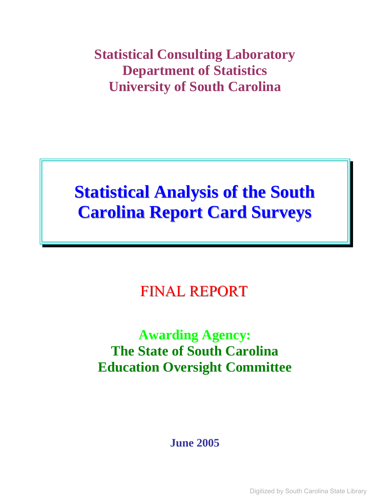**Statistical Consulting Laboratory Department of Statistics University of South Carolina** 

# **Statistical Analysis of the South Carolina Report Card Surveys**

# FINAL REPORT

# **Awarding Agency: The State of South Carolina Education Oversight Committee**

**June 2005**

Digitized by South Carolina State Library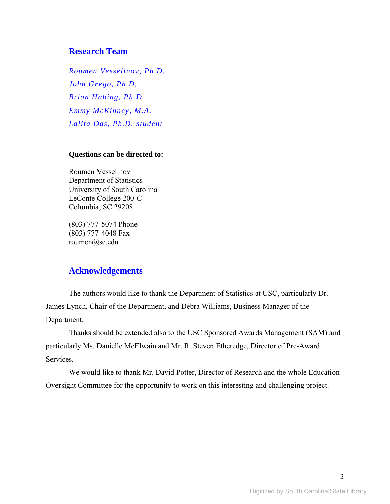## **Research Team**

*Roumen Vesselinov, Ph.D. John Grego, Ph.D. Brian Habing, Ph.D. Emmy McKinney, M.A. Lalita Das, Ph.D. student* 

#### **Questions can be directed to:**

Roumen Vesselinov Department of Statistics University of South Carolina LeConte College 200-C Columbia, SC 29208

(803) 777-5074 Phone (803) 777-4048 Fax roumen@sc.edu

## **Acknowledgements**

The authors would like to thank the Department of Statistics at USC, particularly Dr. James Lynch, Chair of the Department, and Debra Williams, Business Manager of the Department.

Thanks should be extended also to the USC Sponsored Awards Management (SAM) and particularly Ms. Danielle McElwain and Mr. R. Steven Etheredge, Director of Pre-Award Services.

We would like to thank Mr. David Potter, Director of Research and the whole Education Oversight Committee for the opportunity to work on this interesting and challenging project.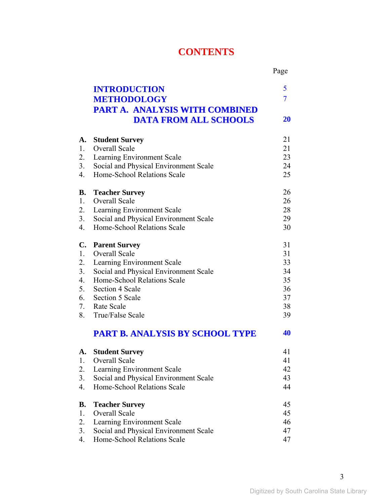## **CONTENTS**

|                |                                        | Page           |
|----------------|----------------------------------------|----------------|
|                | <b>INTRODUCTION</b>                    | 5              |
|                | <b>METHODOLOGY</b>                     | $\overline{7}$ |
|                | <b>PART A. ANALYSIS WITH COMBINED</b>  |                |
|                | <b>DATA FROM ALL SCHOOLS</b>           | 20             |
| A.             | <b>Student Survey</b>                  | 21             |
| 1.             | <b>Overall Scale</b>                   | 21             |
| 2.             | Learning Environment Scale             | 23             |
| 3.             | Social and Physical Environment Scale  | 24             |
| 4.             | Home-School Relations Scale            | 25             |
| <b>B.</b>      | <b>Teacher Survey</b>                  | 26             |
| $1_{\cdot}$    | Overall Scale                          | 26             |
| 2.             | Learning Environment Scale             | 28             |
| 3.             | Social and Physical Environment Scale  | 29             |
| 4.             | Home-School Relations Scale            | 30             |
| $\mathbf{C}$ . | <b>Parent Survey</b>                   | 31             |
| 1.             | <b>Overall Scale</b>                   | 31             |
| 2.             | Learning Environment Scale             | 33             |
| 3.             | Social and Physical Environment Scale  | 34             |
| 4.             | Home-School Relations Scale            | 35             |
| 5.             | Section 4 Scale                        | 36             |
| 6.             | Section 5 Scale                        | 37             |
| 7.<br>8.       | <b>Rate Scale</b><br>True/False Scale  | 38<br>39       |
|                |                                        |                |
|                | <b>PART B. ANALYSIS BY SCHOOL TYPE</b> | 40             |
| А.             | <b>Student Survey</b>                  | 41             |
| 1.             | Overall Scale                          | 41             |
| 2.             | Learning Environment Scale             | 42             |
| 3.             | Social and Physical Environment Scale  | 43             |
| 4.             | Home-School Relations Scale            | 44             |
| В.             | <b>Teacher Survey</b>                  | 45             |
| 1.             | Overall Scale                          | 45             |
| 2.             | Learning Environment Scale             | 46             |
| 3.             | Social and Physical Environment Scale  | 47             |
| 4.             | Home-School Relations Scale            | 47             |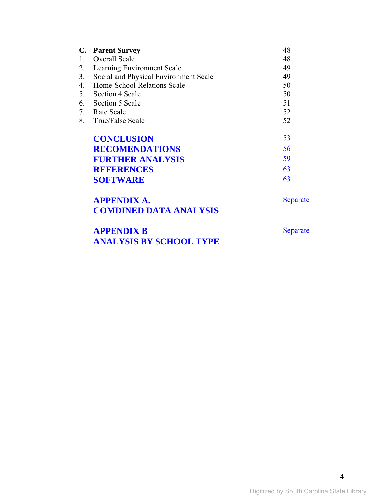|         | C. Parent Survey                      | 48 |
|---------|---------------------------------------|----|
| $1_{-}$ | <b>Overall Scale</b>                  | 48 |
| 2.      | Learning Environment Scale            | 49 |
| 3.      | Social and Physical Environment Scale | 49 |
| 4.      | Home-School Relations Scale           | 50 |
| 5.      | Section 4 Scale                       | 50 |
|         | 6. Section 5 Scale                    | 51 |
|         | 7. Rate Scale                         | 52 |
| 8.      | True/False Scale                      | 52 |
|         | <b>CONCLUSION</b>                     | 53 |
|         | <b>RECOMENDATIONS</b>                 | 56 |
|         | <b>FURTHER ANALYSIS</b>               | 59 |
|         | <b>REFERENCES</b>                     | 63 |
|         | <b>SOFTWARE</b>                       | 63 |
|         |                                       |    |

| <b>APPENDIX A.</b>            |
|-------------------------------|
| <b>COMDINED DATA ANALYSIS</b> |

**APPENDIX B ANALYSIS BY SCHOOL TYPE**  Separate

Separate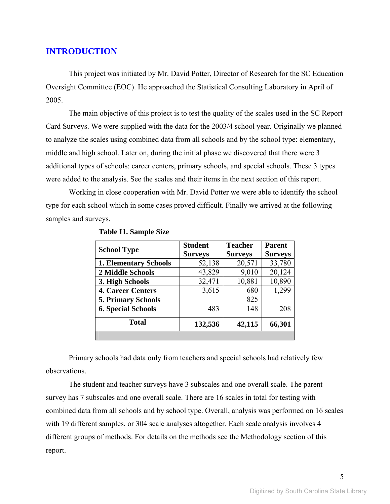## **INTRODUCTION**

This project was initiated by Mr. David Potter, Director of Research for the SC Education Oversight Committee (EOC). He approached the Statistical Consulting Laboratory in April of 2005.

The main objective of this project is to test the quality of the scales used in the SC Report Card Surveys. We were supplied with the data for the 2003/4 school year. Originally we planned to analyze the scales using combined data from all schools and by the school type: elementary, middle and high school. Later on, during the initial phase we discovered that there were 3 additional types of schools: career centers, primary schools, and special schools. These 3 types were added to the analysis. See the scales and their items in the next section of this report.

Working in close cooperation with Mr. David Potter we were able to identify the school type for each school which in some cases proved difficult. Finally we arrived at the following samples and surveys.

|                              | <b>Student</b> | <b>Teacher</b> | <b>Parent</b>  |
|------------------------------|----------------|----------------|----------------|
| <b>School Type</b>           | <b>Surveys</b> | <b>Surveys</b> | <b>Surveys</b> |
| <b>1. Elementary Schools</b> | 52,138         | 20,571         | 33,780         |
| 2 Middle Schools             | 43,829         | 9,010          | 20,124         |
| 3. High Schools              | 32,471         | 10,881         | 10,890         |
| <b>4. Career Centers</b>     | 3,615          | 680            | 1,299          |
| <b>5. Primary Schools</b>    |                | 825            |                |
| <b>6. Special Schools</b>    | 483            | 148            | 208            |
| Total                        | 132,536        | 42,115         | 66,301         |
|                              |                |                |                |

**Table I1. Sample Size** 

Primary schools had data only from teachers and special schools had relatively few observations.

The student and teacher surveys have 3 subscales and one overall scale. The parent survey has 7 subscales and one overall scale. There are 16 scales in total for testing with combined data from all schools and by school type. Overall, analysis was performed on 16 scales with 19 different samples, or 304 scale analyses altogether. Each scale analysis involves 4 different groups of methods. For details on the methods see the Methodology section of this report.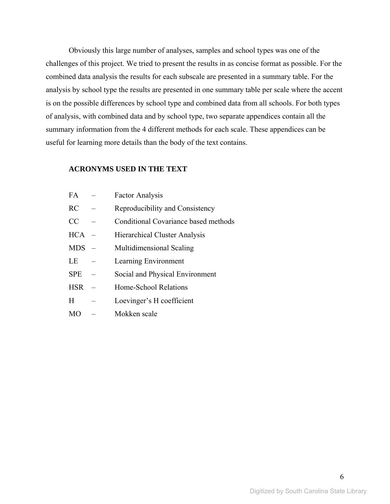Obviously this large number of analyses, samples and school types was one of the challenges of this project. We tried to present the results in as concise format as possible. For the combined data analysis the results for each subscale are presented in a summary table. For the analysis by school type the results are presented in one summary table per scale where the accent is on the possible differences by school type and combined data from all schools. For both types of analysis, with combined data and by school type, two separate appendices contain all the summary information from the 4 different methods for each scale. These appendices can be useful for learning more details than the body of the text contains.

### **ACRONYMS USED IN THE TEXT**

FA – Factor Analysis

| $\mathbf{I}^{\prime}$ | Tavul Aliatysis                      |
|-----------------------|--------------------------------------|
| RC                    | Reproducibility and Consistency      |
| CC                    | Conditional Covariance based methods |
| <b>HCA</b>            | Hierarchical Cluster Analysis        |
| <b>MDS</b>            | Multidimensional Scaling             |
| LE                    | Learning Environment                 |
| <b>SPE</b>            | Social and Physical Environment      |
| <b>HSR</b>            | Home-School Relations                |
| H                     | Loevinger's H coefficient            |
| <b>MO</b>             | Mokken scale                         |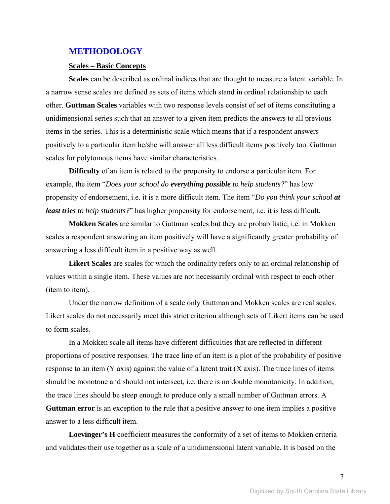#### **METHODOLOGY**

#### **Scales – Basic Concepts**

**Scales** can be described as ordinal indices that are thought to measure a latent variable. In a narrow sense scales are defined as sets of items which stand in ordinal relationship to each other. **Guttman Scales** variables with two response levels consist of set of items constituting a unidimensional series such that an answer to a given item predicts the answers to all previous items in the series. This is a deterministic scale which means that if a respondent answers positively to a particular item he/she will answer all less difficult items positively too. Guttman scales for polytomous items have similar characteristics.

**Difficulty** of an item is related to the propensity to endorse a particular item. For example, the item "*Does your school do everything possible to help students?*" has low propensity of endorsement, i.e. it is a more difficult item. The item "*Do you think your school at least tries to help students?*" has higher propensity for endorsement, i.e. it is less difficult.

**Mokken Scales** are similar to Guttman scales but they are probabilistic, i.e. in Mokken scales a respondent answering an item positively will have a significantly greater probability of answering a less difficult item in a positive way as well.

**Likert Scales** are scales for which the ordinality refers only to an ordinal relationship of values within a single item. These values are not necessarily ordinal with respect to each other (item to item).

Under the narrow definition of a scale only Guttman and Mokken scales are real scales. Likert scales do not necessarily meet this strict criterion although sets of Likert items can be used to form scales.

In a Mokken scale all items have different difficulties that are reflected in different proportions of positive responses. The trace line of an item is a plot of the probability of positive response to an item (Y axis) against the value of a latent trait (X axis). The trace lines of items should be monotone and should not intersect, i.e. there is no double monotonicity. In addition, the trace lines should be steep enough to produce only a small number of Guttman errors. A **Guttman error** is an exception to the rule that a positive answer to one item implies a positive answer to a less difficult item.

**Loevinger's H** coefficient measures the conformity of a set of items to Mokken criteria and validates their use together as a scale of a unidimensional latent variable. It is based on the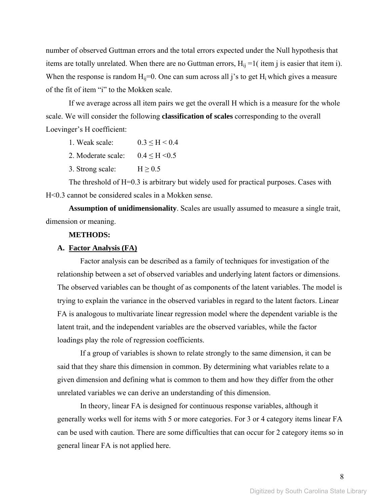number of observed Guttman errors and the total errors expected under the Null hypothesis that items are totally unrelated. When there are no Guttman errors,  $H_{ii} = 1$  (item j is easier that item i). When the response is random  $H_{ii}=0$ . One can sum across all j's to get  $H_i$  which gives a measure of the fit of item "i" to the Mokken scale.

If we average across all item pairs we get the overall H which is a measure for the whole scale. We will consider the following **classification of scales** corresponding to the overall Loevinger's H coefficient:

- 1. Weak scale:  $0.3 \leq H \leq 0.4$
- 2. Moderate scale:  $0.4 \leq H \leq 0.5$
- 3. Strong scale:  $H \ge 0.5$

The threshold of H=0.3 is arbitrary but widely used for practical purposes. Cases with H<0.3 cannot be considered scales in a Mokken sense.

**Assumption of unidimensionality**. Scales are usually assumed to measure a single trait, dimension or meaning.

### **METHODS:**

#### **A. Factor Analysis (FA)**

Factor analysis can be described as a family of techniques for investigation of the relationship between a set of observed variables and underlying latent factors or dimensions. The observed variables can be thought of as components of the latent variables. The model is trying to explain the variance in the observed variables in regard to the latent factors. Linear FA is analogous to multivariate linear regression model where the dependent variable is the latent trait, and the independent variables are the observed variables, while the factor loadings play the role of regression coefficients.

If a group of variables is shown to relate strongly to the same dimension, it can be said that they share this dimension in common. By determining what variables relate to a given dimension and defining what is common to them and how they differ from the other unrelated variables we can derive an understanding of this dimension.

In theory, linear FA is designed for continuous response variables, although it generally works well for items with 5 or more categories. For 3 or 4 category items linear FA can be used with caution. There are some difficulties that can occur for 2 category items so in general linear FA is not applied here.

8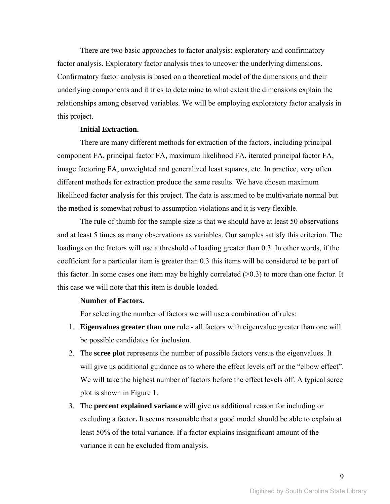There are two basic approaches to factor analysis: exploratory and confirmatory factor analysis. Exploratory factor analysis tries to uncover the underlying dimensions. Confirmatory factor analysis is based on a theoretical model of the dimensions and their underlying components and it tries to determine to what extent the dimensions explain the relationships among observed variables. We will be employing exploratory factor analysis in this project.

#### **Initial Extraction.**

There are many different methods for extraction of the factors, including principal component FA, principal factor FA, maximum likelihood FA, iterated principal factor FA, image factoring FA, unweighted and generalized least squares, etc. In practice, very often different methods for extraction produce the same results. We have chosen maximum likelihood factor analysis for this project. The data is assumed to be multivariate normal but the method is somewhat robust to assumption violations and it is very flexible.

The rule of thumb for the sample size is that we should have at least 50 observations and at least 5 times as many observations as variables. Our samples satisfy this criterion. The loadings on the factors will use a threshold of loading greater than 0.3. In other words, if the coefficient for a particular item is greater than 0.3 this items will be considered to be part of this factor. In some cases one item may be highly correlated  $(>0.3)$  to more than one factor. It this case we will note that this item is double loaded.

#### **Number of Factors.**

For selecting the number of factors we will use a combination of rules:

- 1. **Eigenvalues greater than one** rule all factors with eigenvalue greater than one will be possible candidates for inclusion.
- 2. The **scree plot** represents the number of possible factors versus the eigenvalues. It will give us additional guidance as to where the effect levels off or the "elbow effect". We will take the highest number of factors before the effect levels off. A typical scree plot is shown in Figure 1.
- 3. The **percent explained variance** will give us additional reason for including or excluding a factor**.** It seems reasonable that a good model should be able to explain at least 50% of the total variance. If a factor explains insignificant amount of the variance it can be excluded from analysis.

9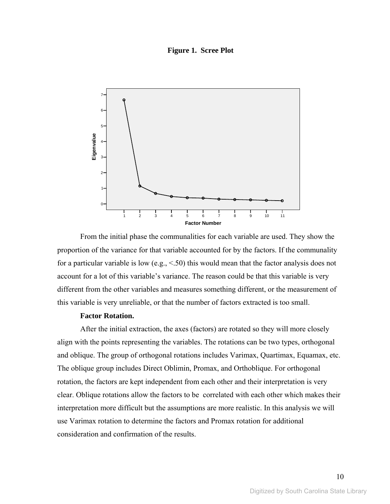**Figure 1. Scree Plot** 



From the initial phase the communalities for each variable are used. They show the proportion of the variance for that variable accounted for by the factors. If the communality for a particular variable is low (e.g., <.50) this would mean that the factor analysis does not account for a lot of this variable's variance. The reason could be that this variable is very different from the other variables and measures something different, or the measurement of this variable is very unreliable, or that the number of factors extracted is too small.

## **Factor Rotation.**

After the initial extraction, the axes (factors) are rotated so they will more closely align with the points representing the variables. The rotations can be two types, orthogonal and oblique. The group of orthogonal rotations includes Varimax, Quartimax, Equamax, etc. The oblique group includes Direct Oblimin, Promax, and Orthoblique. For orthogonal rotation, the factors are kept independent from each other and their interpretation is very clear. Oblique rotations allow the factors to be correlated with each other which makes their interpretation more difficult but the assumptions are more realistic. In this analysis we will use Varimax rotation to determine the factors and Promax rotation for additional consideration and confirmation of the results.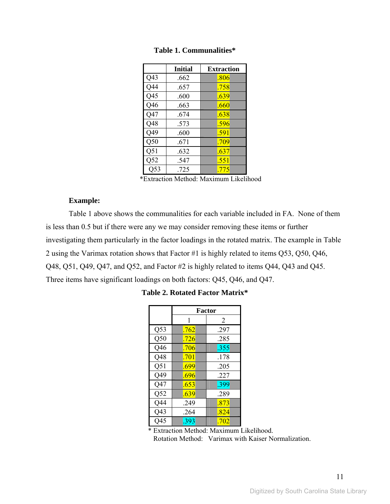|                 | <b>Initial</b> | <b>Extraction</b> |
|-----------------|----------------|-------------------|
| Q <sub>43</sub> | .662           | .806              |
| Q44             | .657           | .758              |
| Q45             | .600           | .639              |
| Q46             | .663           | .660              |
| Q47             | .674           | .638              |
| Q48             | .573           | .596              |
| Q49             | .600           | .591              |
| Q50             | .671           | .709              |
| Q51             | .632           | .637              |
| Q52             | .547           | .551              |
| 053             | .725           | .775              |

**Table 1. Communalities\*** 

\*Extraction Method: Maximum Likelihood

#### **Example:**

Table 1 above shows the communalities for each variable included in FA. None of them is less than 0.5 but if there were any we may consider removing these items or further investigating them particularly in the factor loadings in the rotated matrix. The example in Table 2 using the Varimax rotation shows that Factor #1 is highly related to items Q53, Q50, Q46, Q48, Q51, Q49, Q47, and Q52, and Factor #2 is highly related to items Q44, Q43 and Q45. Three items have significant loadings on both factors: Q45, Q46, and Q47.

|     | Factor |      |  |
|-----|--------|------|--|
|     |        | 2    |  |
| Q53 | .762   | .297 |  |
| Q50 | .726   | .285 |  |
| Q46 | .706   | .355 |  |
| Q48 | .701   | .178 |  |
| Q51 | .699   | .205 |  |
| Q49 | .696   | .227 |  |
| Q47 | .653   | .399 |  |
| Q52 | .639   | .289 |  |
| Q44 | .249   | .873 |  |
| Q43 | .264   | .824 |  |
| O45 | .393   | .702 |  |

#### **Table 2. Rotated Factor Matrix\***

 \* Extraction Method: Maximum Likelihood. Rotation Method: Varimax with Kaiser Normalization.

11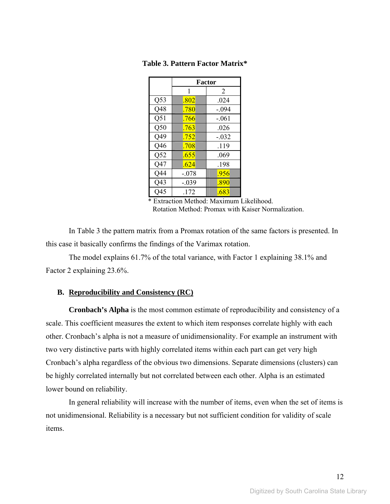|     | <b>Factor</b> |         |  |
|-----|---------------|---------|--|
|     | 1             | 2       |  |
| Q53 | .802          | .024    |  |
| Q48 | .780          | $-.094$ |  |
| Q51 | .766          | $-.061$ |  |
| Q50 | .763          | .026    |  |
| Q49 | .752          | $-.032$ |  |
| Q46 | .708          | .119    |  |
| Q52 | .655          | .069    |  |
| Q47 | .624          | .198    |  |
| Q44 | $-.078$       | .956    |  |
| Q43 | $-.039$       | .890    |  |
| 045 | .172          | .683    |  |

#### **Table 3. Pattern Factor Matrix\***

 \* Extraction Method: Maximum Likelihood. Rotation Method: Promax with Kaiser Normalization.

In Table 3 the pattern matrix from a Promax rotation of the same factors is presented. In this case it basically confirms the findings of the Varimax rotation.

The model explains 61.7% of the total variance, with Factor 1 explaining 38.1% and Factor 2 explaining 23.6%.

#### **B. Reproducibility and Consistency (RC)**

**Cronbach's Alpha** is the most common estimate of reproducibility and consistency of a scale. This coefficient measures the extent to which item responses correlate highly with each other. Cronbach's alpha is not a measure of unidimensionality. For example an instrument with two very distinctive parts with highly correlated items within each part can get very high Cronbach's alpha regardless of the obvious two dimensions. Separate dimensions (clusters) can be highly correlated internally but not correlated between each other. Alpha is an estimated lower bound on reliability.

In general reliability will increase with the number of items, even when the set of items is not unidimensional. Reliability is a necessary but not sufficient condition for validity of scale items.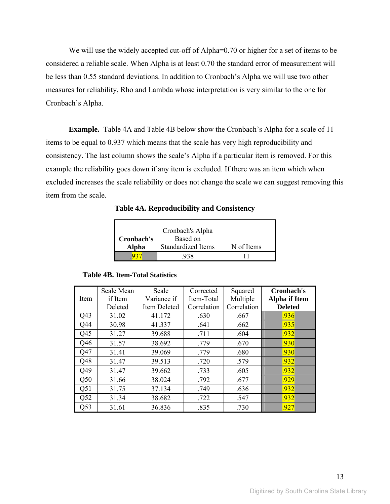We will use the widely accepted cut-off of Alpha=0.70 or higher for a set of items to be considered a reliable scale. When Alpha is at least 0.70 the standard error of measurement will be less than 0.55 standard deviations. In addition to Cronbach's Alpha we will use two other measures for reliability, Rho and Lambda whose interpretation is very similar to the one for Cronbach's Alpha.

**Example.** Table 4A and Table 4B below show the Cronbach's Alpha for a scale of 11 items to be equal to 0.937 which means that the scale has very high reproducibility and consistency. The last column shows the scale's Alpha if a particular item is removed. For this example the reliability goes down if any item is excluded. If there was an item which when excluded increases the scale reliability or does not change the scale we can suggest removing this item from the scale.

|            | Cronbach's Alpha   |            |
|------------|--------------------|------------|
| Cronbach's | Based on           |            |
| Alpha      | Standardized Items | N of Items |
|            |                    |            |

**Table 4A. Reproducibility and Consistency** 

#### **Table 4B. Item-Total Statistics**

|      | Scale Mean | Scale        | Corrected   | Squared     | Cronbach's           |
|------|------------|--------------|-------------|-------------|----------------------|
| Item | if Item    | Variance if  | Item-Total  | Multiple    | <b>Alpha</b> if Item |
|      | Deleted    | Item Deleted | Correlation | Correlation | <b>Deleted</b>       |
| Q43  | 31.02      | 41.172       | .630        | .667        | .936                 |
| Q44  | 30.98      | 41.337       | .641        | .662        | .935                 |
| Q45  | 31.27      | 39.688       | .711        | .604        | .932                 |
| Q46  | 31.57      | 38.692       | .779        | .670        | .930                 |
| Q47  | 31.41      | 39.069       | .779        | .680        | .930                 |
| Q48  | 31.47      | 39.513       | .720        | .579        | .932                 |
| O49  | 31.47      | 39.662       | .733        | .605        | .932                 |
| Q50  | 31.66      | 38.024       | .792        | .677        | .929                 |
| Q51  | 31.75      | 37.134       | .749        | .636        | .932                 |
| Q52  | 31.34      | 38.682       | .722        | .547        | .932                 |
| Q53  | 31.61      | 36.836       | .835        | .730        | .927                 |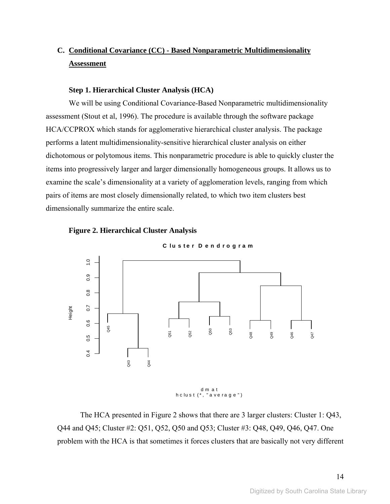## **C. Conditional Covariance (CC) - Based Nonparametric Multidimensionality Assessment**

#### **Step 1. Hierarchical Cluster Analysis (HCA)**

We will be using Conditional Covariance-Based Nonparametric multidimensionality assessment (Stout et al, 1996). The procedure is available through the software package HCA/CCPROX which stands for agglomerative hierarchical cluster analysis. The package performs a latent multidimensionality-sensitive hierarchical cluster analysis on either dichotomous or polytomous items. This nonparametric procedure is able to quickly cluster the items into progressively larger and larger dimensionally homogeneous groups. It allows us to examine the scale's dimensionality at a variety of agglomeration levels, ranging from which pairs of items are most closely dimensionally related, to which two item clusters best dimensionally summarize the entire scale.





The HCA presented in Figure 2 shows that there are 3 larger clusters: Cluster 1: Q43, Q44 and Q45; Cluster #2: Q51, Q52, Q50 and Q53; Cluster #3: Q48, Q49, Q46, Q47. One problem with the HCA is that sometimes it forces clusters that are basically not very different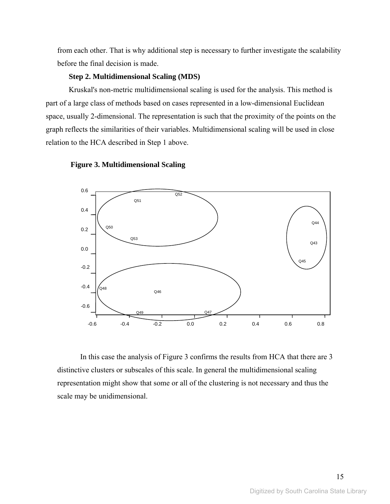from each other. That is why additional step is necessary to further investigate the scalability before the final decision is made.

#### **Step 2. Multidimensional Scaling (MDS)**

Kruskal's non-metric multidimensional scaling is used for the analysis. This method is part of a large class of methods based on cases represented in a low-dimensional Euclidean space, usually 2-dimensional. The representation is such that the proximity of the points on the graph reflects the similarities of their variables. Multidimensional scaling will be used in close relation to the HCA described in Step 1 above.





In this case the analysis of Figure 3 confirms the results from HCA that there are 3 distinctive clusters or subscales of this scale. In general the multidimensional scaling representation might show that some or all of the clustering is not necessary and thus the scale may be unidimensional.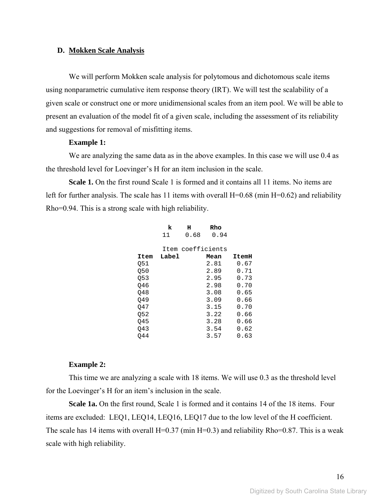#### **D. Mokken Scale Analysis**

We will perform Mokken scale analysis for polytomous and dichotomous scale items using nonparametric cumulative item response theory (IRT). We will test the scalability of a given scale or construct one or more unidimensional scales from an item pool. We will be able to present an evaluation of the model fit of a given scale, including the assessment of its reliability and suggestions for removal of misfitting items.

#### **Example 1:**

We are analyzing the same data as in the above examples. In this case we will use 0.4 as the threshold level for Loevinger's H for an item inclusion in the scale.

**Scale 1.** On the first round Scale 1 is formed and it contains all 11 items. No items are left for further analysis. The scale has 11 items with overall H=0.68 (min H=0.62) and reliability Rho=0.94. This is a strong scale with high reliability.

| k     | н    | Rho  |                   |
|-------|------|------|-------------------|
| 11    | 0.68 | 0.94 |                   |
|       |      |      |                   |
|       |      |      |                   |
| Label |      | Mean | ItemH             |
|       |      | 2.81 | 0.67              |
|       |      | 2.89 | 0.71              |
|       |      | 2.95 | 0.73              |
|       |      | 2.98 | 0.70              |
|       |      | 3.08 | 0.65              |
|       |      | 3.09 | 0.66              |
|       |      | 3.15 | 0.70              |
|       |      | 3.22 | 0.66              |
|       |      | 3.28 | 0.66              |
|       |      | 3.54 | 0.62              |
|       |      | 3.57 | 0.63              |
|       |      |      | Item coefficients |

#### **Example 2:**

This time we are analyzing a scale with 18 items. We will use 0.3 as the threshold level for the Loevinger's H for an item's inclusion in the scale.

**Scale 1a.** On the first round, Scale 1 is formed and it contains 14 of the 18 items. Four items are excluded: LEQ1, LEQ14, LEQ16, LEQ17 due to the low level of the H coefficient. The scale has 14 items with overall H=0.37 (min H=0.3) and reliability Rho=0.87. This is a weak scale with high reliability.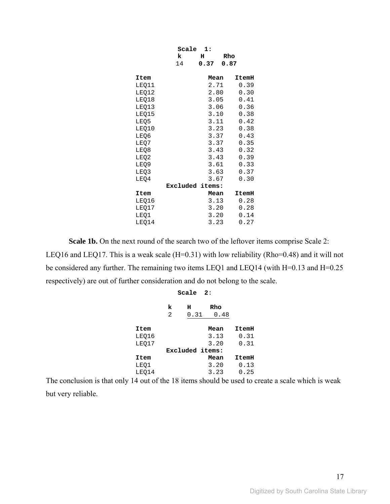|       | Scale           | 1:   |       |
|-------|-----------------|------|-------|
|       | k               | н    | Rho   |
|       | 14              | 0.37 | 0.87  |
|       |                 |      |       |
| Item  |                 | Mean | ItemH |
| LEQ11 |                 | 2.71 | 0.39  |
| LEQ12 |                 | 2.80 | 0.30  |
| LEQ18 |                 | 3.05 | 0.41  |
| LEQ13 |                 | 3.06 | 0.36  |
| LEQ15 |                 | 3.10 | 0.38  |
| LEQ5  |                 | 3.11 | 0.42  |
| LEQ10 |                 | 3.23 | 0.38  |
| LEQ6  |                 | 3.37 | 0.43  |
| LEQ7  |                 | 3.37 | 0.35  |
| LEQ8  |                 | 3.43 | 0.32  |
| LEQ2  |                 | 3.43 | 0.39  |
| LEQ9  |                 | 3.61 | 0.33  |
| LEQ3  |                 | 3.63 | 0.37  |
| LEQ4  |                 | 3.67 | 0.30  |
|       | Excluded items: |      |       |
| Item  |                 | Mean | ItemH |
| LEQ16 |                 | 3.13 | 0.28  |
| LEQ17 |                 | 3.20 | 0.28  |
| LEQ1  |                 | 3.20 | 0.14  |
| LEQ14 |                 | 3.23 | 0.27  |

**Scale 1b.** On the next round of the search two of the leftover items comprise Scale 2: LEQ16 and LEQ17. This is a weak scale (H=0.31) with low reliability (Rho=0.48) and it will not be considered any further. The remaining two items LEQ1 and LEQ14 (with H=0.13 and H=0.25 respectively) are out of further consideration and do not belong to the scale.

|       | Scale<br>2: |                 |             |       |  |
|-------|-------------|-----------------|-------------|-------|--|
|       | k<br>2      | н<br>0.31       | Rho<br>0.48 |       |  |
| Item  |             |                 | Mean        | ItemH |  |
| LEQ16 |             |                 | 3.13        | 0.31  |  |
| LEQ17 |             |                 | 3.20        | 0.31  |  |
|       |             | Excluded items: |             |       |  |
| Item  |             |                 | Mean        | ItemH |  |
| LEQ1  |             |                 | 3.20        | 0.13  |  |
| LEQ14 |             |                 | 3.23        | 0.25  |  |

The conclusion is that only 14 out of the 18 items should be used to create a scale which is weak but very reliable.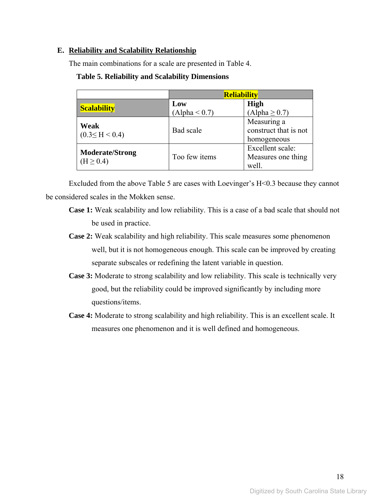### **E. Reliability and Scalability Relationship**

The main combinations for a scale are presented in Table 4.

|                                         | <b>Reliability</b>   |                                                     |  |  |
|-----------------------------------------|----------------------|-----------------------------------------------------|--|--|
| <b>Scalability</b>                      | Low<br>(Alpha < 0.7) | <b>High</b><br>$(Alpha \geq 0.7)$                   |  |  |
| Weak<br>$(0.3 \leq H \leq 0.4)$         | Bad scale            | Measuring a<br>construct that is not<br>homogeneous |  |  |
| <b>Moderate/Strong</b><br>$(H \ge 0.4)$ | Too few items        | Excellent scale:<br>Measures one thing<br>well.     |  |  |

### **Table 5. Reliability and Scalability Dimensions**

Excluded from the above Table 5 are cases with Loevinger's H<0.3 because they cannot be considered scales in the Mokken sense.

- **Case 1:** Weak scalability and low reliability. This is a case of a bad scale that should not be used in practice.
- **Case 2:** Weak scalability and high reliability. This scale measures some phenomenon well, but it is not homogeneous enough. This scale can be improved by creating separate subscales or redefining the latent variable in question.
- **Case 3:** Moderate to strong scalability and low reliability. This scale is technically very good, but the reliability could be improved significantly by including more questions/items.
- **Case 4:** Moderate to strong scalability and high reliability. This is an excellent scale. It measures one phenomenon and it is well defined and homogeneous.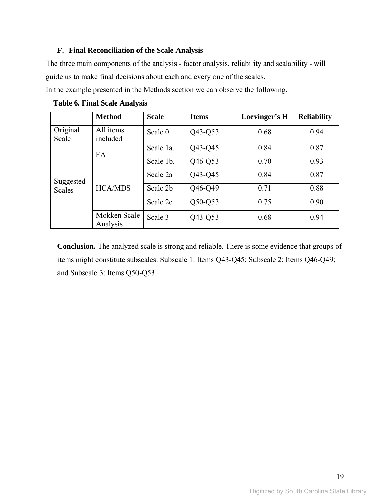## **F. Final Reconciliation of the Scale Analysis**

The three main components of the analysis - factor analysis, reliability and scalability - will guide us to make final decisions about each and every one of the scales.

In the example presented in the Methods section we can observe the following.

|                   | <b>Method</b>            | <b>Scale</b>         | <b>Items</b> | Loevinger's H | <b>Reliability</b> |
|-------------------|--------------------------|----------------------|--------------|---------------|--------------------|
| Original<br>Scale | All items<br>included    | Scale 0.             | Q43-Q53      | 0.68          | 0.94               |
|                   | <b>FA</b>                | Scale 1a.            | Q43-Q45      | 0.84          | 0.87               |
|                   |                          | Q46-Q53<br>Scale 1b. |              | 0.70          | 0.93               |
| Suggested         | <b>HCA/MDS</b>           | Scale 2a             | Q43-Q45      | 0.84          | 0.87               |
| <b>Scales</b>     |                          | Scale 2b             | Q46-Q49      | 0.71          | 0.88               |
|                   |                          | Scale 2c             | $Q50-Q53$    | 0.75          | 0.90               |
|                   | Mokken Scale<br>Analysis | Scale 3              | Q43-Q53      | 0.68          | 0.94               |

 **Table 6. Final Scale Analysis** 

**Conclusion.** The analyzed scale is strong and reliable. There is some evidence that groups of items might constitute subscales: Subscale 1: Items Q43-Q45; Subscale 2: Items Q46-Q49; and Subscale 3: Items Q50-Q53.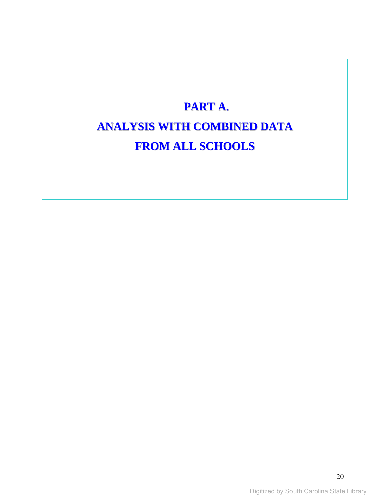# **PART A. ANALYSIS WITH COMBINED DATA FROM ALL SCHOOLS**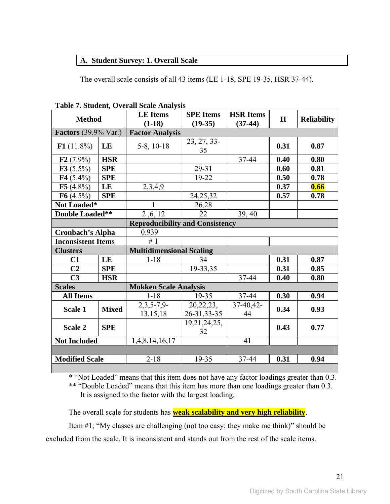## **A. Student Survey: 1. Overall Scale**

The overall scale consists of all 43 items (LE 1-18, SPE 19-35, HSR 37-44).

|                             |              | Table 7. Student, Overall Scale Analysis |                        |                  |             |                    |  |  |
|-----------------------------|--------------|------------------------------------------|------------------------|------------------|-------------|--------------------|--|--|
| <b>Method</b>               |              | <b>LE</b> Items                          | <b>SPE</b> Items       | <b>HSR Items</b> | $\mathbf H$ | <b>Reliability</b> |  |  |
|                             |              | $(1-18)$                                 | $(19-35)$              | $(37-44)$        |             |                    |  |  |
| <b>Factors</b> (39.9% Var.) |              |                                          | <b>Factor Analysis</b> |                  |             |                    |  |  |
| F1(11.8%)<br>LE             |              |                                          | 23, 27, 33-            |                  |             |                    |  |  |
|                             |              | $5-8$ , $10-18$                          | 35                     |                  | 0.31        | 0.87               |  |  |
| $F2(7.9\%)$                 | <b>HSR</b>   |                                          |                        | 37-44            | 0.40        | 0.80               |  |  |
| F3(5.5%)                    | <b>SPE</b>   |                                          | 29-31                  |                  | 0.60        | 0.81               |  |  |
| $F4(5.4\%)$                 | <b>SPE</b>   |                                          | 19-22                  |                  | 0.50        | 0.78               |  |  |
| F5(4.8%)                    | LE           | 2,3,4,9                                  |                        |                  | 0.37        | 0.66               |  |  |
| F6(4.5%)                    | <b>SPE</b>   |                                          | 24, 25, 32             |                  | 0.57        | 0.78               |  |  |
| Not Loaded*                 |              | 1                                        | 26,28                  |                  |             |                    |  |  |
| <b>Double Loaded**</b>      |              | 2,6,12                                   | 22                     | 39, 40           |             |                    |  |  |
|                             |              | <b>Reproducibility and Consistency</b>   |                        |                  |             |                    |  |  |
| <b>Cronbach's Alpha</b>     |              | 0.939                                    |                        |                  |             |                    |  |  |
| <b>Inconsistent Items</b>   |              | #1                                       |                        |                  |             |                    |  |  |
| <b>Clusters</b>             |              | <b>Multidimensional Scaling</b>          |                        |                  |             |                    |  |  |
| C1                          | LE           | $1 - 18$                                 | 34                     |                  | 0.31        | 0.87               |  |  |
| C <sub>2</sub>              | <b>SPE</b>   |                                          | 19-33,35               |                  | 0.31        | 0.85               |  |  |
| C <sub>3</sub>              | <b>HSR</b>   |                                          |                        | 37-44            | 0.40        | 0.80               |  |  |
| <b>Scales</b>               |              | <b>Mokken Scale Analysis</b>             |                        |                  |             |                    |  |  |
| <b>All Items</b>            |              | $1 - 18$                                 | 19-35                  | 37-44            | 0.30        | 0.94               |  |  |
|                             |              | $2,3,5-7,9-$                             | 20, 22, 23,            | 37-40,42-        | 0.34        |                    |  |  |
| Scale 1                     | <b>Mixed</b> | 13, 15, 18                               | 26-31, 33-35           | 44               |             | 0.93               |  |  |
| <b>SPE</b><br>Scale 2       |              |                                          | 19, 21, 24, 25,        |                  | 0.43        |                    |  |  |
|                             |              |                                          | 32                     |                  |             | 0.77               |  |  |
| <b>Not Included</b>         |              | 1,4,8,14,16,17                           |                        | 41               |             |                    |  |  |
|                             |              |                                          |                        |                  |             |                    |  |  |
| <b>Modified Scale</b>       |              | $2 - 18$                                 | 19-35                  | 37-44            | 0.31        | 0.94               |  |  |

**Table 7. Student, Overall Scale Analysis** 

\* "Not Loaded" means that this item does not have any factor loadings greater than 0.3.

\*\* "Double Loaded" means that this item has more than one loadings greater than 0.3. It is assigned to the factor with the largest loading.

The overall scale for students has **weak scalability and very high reliability**.

Item #1; "My classes are challenging (not too easy; they make me think)" should be excluded from the scale. It is inconsistent and stands out from the rest of the scale items.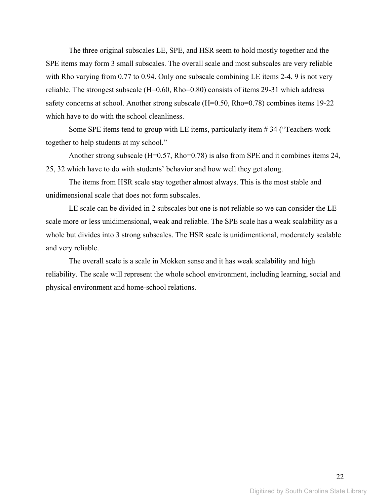The three original subscales LE, SPE, and HSR seem to hold mostly together and the SPE items may form 3 small subscales. The overall scale and most subscales are very reliable with Rho varying from 0.77 to 0.94. Only one subscale combining LE items 2-4, 9 is not very reliable. The strongest subscale (H=0.60, Rho=0.80) consists of items 29-31 which address safety concerns at school. Another strong subscale (H=0.50, Rho=0.78) combines items 19-22 which have to do with the school cleanliness.

Some SPE items tend to group with LE items, particularly item # 34 ("Teachers work together to help students at my school."

Another strong subscale  $(H=0.57, Rho=0.78)$  is also from SPE and it combines items 24, 25, 32 which have to do with students' behavior and how well they get along.

The items from HSR scale stay together almost always. This is the most stable and unidimensional scale that does not form subscales.

LE scale can be divided in 2 subscales but one is not reliable so we can consider the LE scale more or less unidimensional, weak and reliable. The SPE scale has a weak scalability as a whole but divides into 3 strong subscales. The HSR scale is unidimentional, moderately scalable and very reliable.

The overall scale is a scale in Mokken sense and it has weak scalability and high reliability. The scale will represent the whole school environment, including learning, social and physical environment and home-school relations.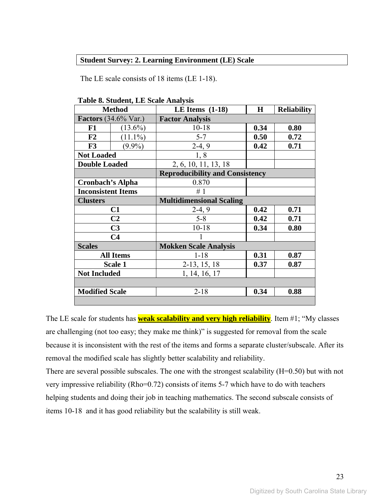## **Student Survey: 2. Learning Environment (LE) Scale**

The LE scale consists of 18 items (LE 1-18).

|                           | <b>Method</b>               | LE Items $(1-18)$                      | $\bf H$ | <b>Reliability</b> |  |
|---------------------------|-----------------------------|----------------------------------------|---------|--------------------|--|
|                           | <b>Factors</b> (34.6% Var.) | <b>Factor Analysis</b>                 |         |                    |  |
| F1                        | $(13.6\%)$                  | $10 - 18$                              | 0.34    | 0.80               |  |
| F2                        | $(11.1\%)$                  | $5 - 7$                                | 0.50    | 0.72               |  |
| F3                        | $(9.9\%)$                   | $2-4, 9$                               | 0.42    | 0.71               |  |
| <b>Not Loaded</b>         |                             | 1,8                                    |         |                    |  |
| <b>Double Loaded</b>      |                             | 2, 6, 10, 11, 13, 18                   |         |                    |  |
|                           |                             | <b>Reproducibility and Consistency</b> |         |                    |  |
| <b>Cronbach's Alpha</b>   |                             | 0.870                                  |         |                    |  |
| <b>Inconsistent Items</b> |                             | #1                                     |         |                    |  |
| <b>Clusters</b>           |                             | <b>Multidimensional Scaling</b>        |         |                    |  |
|                           | C <sub>1</sub>              | $2-4, 9$                               | 0.42    | 0.71               |  |
|                           | C <sub>2</sub>              | $5 - 8$                                | 0.42    | 0.71               |  |
|                           | C <sub>3</sub>              | $10 - 18$                              | 0.34    | 0.80               |  |
|                           | C <sub>4</sub>              |                                        |         |                    |  |
| <b>Scales</b>             |                             | <b>Mokken Scale Analysis</b>           |         |                    |  |
|                           | <b>All Items</b>            | $1 - 18$                               | 0.31    | 0.87               |  |
|                           | Scale 1                     | $2-13, 15, 18$                         | 0.37    | 0.87               |  |
| <b>Not Included</b>       |                             | 1, 14, 16, 17                          |         |                    |  |
|                           |                             |                                        |         |                    |  |
| <b>Modified Scale</b>     |                             | $2 - 18$                               | 0.34    | 0.88               |  |
|                           |                             |                                        |         |                    |  |

**Table 8. Student, LE Scale Analysis** 

The LE scale for students has **weak scalability and very high reliability**. Item #1; "My classes are challenging (not too easy; they make me think)" is suggested for removal from the scale because it is inconsistent with the rest of the items and forms a separate cluster/subscale. After its removal the modified scale has slightly better scalability and reliability.

There are several possible subscales. The one with the strongest scalability (H=0.50) but with not very impressive reliability (Rho=0.72) consists of items 5-7 which have to do with teachers helping students and doing their job in teaching mathematics. The second subscale consists of items 10-18 and it has good reliability but the scalability is still weak.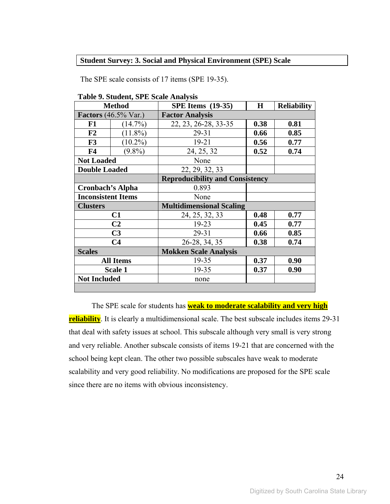#### **Student Survey: 3. Social and Physical Environment (SPE) Scale**

The SPE scale consists of 17 items (SPE 19-35).

|                           | <b>Method</b>                          | <b>SPE Items</b> (19-35)               | $\bf H$ | <b>Reliability</b> |  |
|---------------------------|----------------------------------------|----------------------------------------|---------|--------------------|--|
|                           | <b>Factors</b> $(46.5\% \text{ Var.})$ | <b>Factor Analysis</b>                 |         |                    |  |
| F1                        | $(14.7\%)$                             | 22, 23, 26-28, 33-35                   | 0.38    | 0.81               |  |
| F2                        | $(11.8\%)$                             | 29-31                                  | 0.66    | 0.85               |  |
| F3                        | $(10.2\%)$                             | $19 - 21$                              | 0.56    | 0.77               |  |
| F <sub>4</sub>            | $(9.8\%)$                              | 24, 25, 32                             | 0.52    | 0.74               |  |
| <b>Not Loaded</b>         |                                        | None                                   |         |                    |  |
| <b>Double Loaded</b>      |                                        | 22, 29, 32, 33                         |         |                    |  |
|                           |                                        | <b>Reproducibility and Consistency</b> |         |                    |  |
| <b>Cronbach's Alpha</b>   |                                        | 0.893                                  |         |                    |  |
| <b>Inconsistent Items</b> |                                        | None                                   |         |                    |  |
| <b>Clusters</b>           |                                        | <b>Multidimensional Scaling</b>        |         |                    |  |
|                           | C1                                     | 24, 25, 32, 33                         | 0.48    | 0.77               |  |
|                           | C <sub>2</sub>                         | 19-23                                  | 0.45    | 0.77               |  |
|                           | C <sub>3</sub>                         | 29-31<br>0.66                          |         | 0.85               |  |
|                           | C <sub>4</sub>                         | 26-28, 34, 35                          | 0.38    | 0.74               |  |
| <b>Scales</b>             |                                        | <b>Mokken Scale Analysis</b>           |         |                    |  |
|                           | <b>All Items</b>                       | 19-35                                  | 0.37    | 0.90               |  |
| 19-35<br>Scale 1          |                                        |                                        | 0.37    | 0.90               |  |
| <b>Not Included</b>       |                                        | none                                   |         |                    |  |
|                           |                                        |                                        |         |                    |  |

**Table 9. Student, SPE Scale Analysis** 

The SPE scale for students has **weak to moderate scalability and very high reliability**. It is clearly a multidimensional scale. The best subscale includes items 29-31 that deal with safety issues at school. This subscale although very small is very strong and very reliable. Another subscale consists of items 19-21 that are concerned with the school being kept clean. The other two possible subscales have weak to moderate scalability and very good reliability. No modifications are proposed for the SPE scale since there are no items with obvious inconsistency.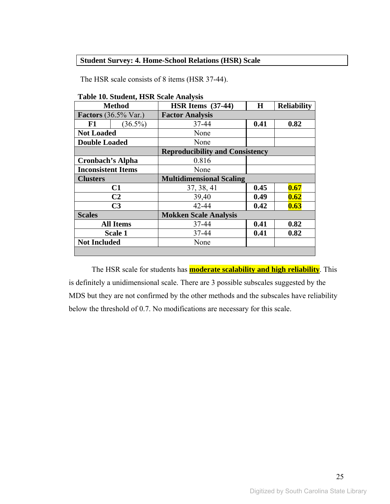## **Student Survey: 4. Home-School Relations (HSR) Scale**

The HSR scale consists of 8 items (HSR 37-44).

|                           | <b>Method</b>                          | HSR Items $(37-44)$                    | H    | <b>Reliability</b> |  |  |
|---------------------------|----------------------------------------|----------------------------------------|------|--------------------|--|--|
|                           | <b>Factors</b> $(36.5\% \text{ Var.})$ | <b>Factor Analysis</b>                 |      |                    |  |  |
| F1                        | $(36.5\%)$                             | 37-44                                  | 0.82 |                    |  |  |
| <b>Not Loaded</b>         |                                        | None                                   |      |                    |  |  |
| <b>Double Loaded</b>      |                                        | None                                   |      |                    |  |  |
|                           |                                        | <b>Reproducibility and Consistency</b> |      |                    |  |  |
| <b>Cronbach's Alpha</b>   |                                        | 0.816                                  |      |                    |  |  |
| <b>Inconsistent Items</b> |                                        | None                                   |      |                    |  |  |
| <b>Clusters</b>           |                                        | <b>Multidimensional Scaling</b>        |      |                    |  |  |
|                           | C1                                     | 37, 38, 41                             | 0.45 | 0.67               |  |  |
|                           | C <sub>2</sub>                         | 39,40                                  | 0.49 | 0.62               |  |  |
|                           | C <sub>3</sub>                         | 42-44                                  | 0.42 | 0.63               |  |  |
| <b>Scales</b>             |                                        | <b>Mokken Scale Analysis</b>           |      |                    |  |  |
|                           | <b>All Items</b>                       | 37-44                                  | 0.41 | 0.82               |  |  |
|                           | <b>Scale 1</b>                         | 37-44                                  | 0.41 | 0.82               |  |  |
| <b>Not Included</b>       |                                        | None                                   |      |                    |  |  |
|                           |                                        |                                        |      |                    |  |  |

**Table 10. Student, HSR Scale Analysis** 

The HSR scale for students has **moderate scalability and high reliability**. This is definitely a unidimensional scale. There are 3 possible subscales suggested by the MDS but they are not confirmed by the other methods and the subscales have reliability below the threshold of 0.7. No modifications are necessary for this scale.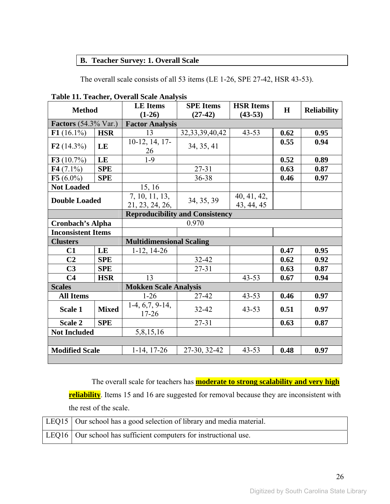## **B. Teacher Survey: 1. Overall Scale**

The overall scale consists of all 53 items (LE 1-26, SPE 27-42, HSR 43-53).

| <b>Method</b>               |                        | <b>LE</b> Items<br>$(1-26)$       | <b>SPE</b> Items<br>$(27-42)$          | <b>HSR Items</b><br>$(43-53)$ | H    | <b>Reliability</b> |  |
|-----------------------------|------------------------|-----------------------------------|----------------------------------------|-------------------------------|------|--------------------|--|
| <b>Factors</b> (54.3% Var.) |                        | <b>Factor Analysis</b>            |                                        |                               |      |                    |  |
| $F1(16.1\%)$<br><b>HSR</b>  |                        | 13                                | 32, 33, 39, 40, 42                     | $43 - 53$                     | 0.62 | 0.95               |  |
| F2 $(14.3\%)$               | $10-12, 14, 17-$<br>LE |                                   | 34, 35, 41                             |                               | 0.55 | 0.94               |  |
| F3 $(10.7\%)$               | LE                     | $1 - 9$                           |                                        |                               | 0.52 | 0.89               |  |
| F4 $(7.1\%)$                | <b>SPE</b>             |                                   | $27 - 31$                              |                               | 0.63 | 0.87               |  |
| F5 $(6.0\%)$                | <b>SPE</b>             |                                   | 36-38                                  |                               | 0.46 | 0.97               |  |
| <b>Not Loaded</b>           |                        | 15, 16                            |                                        |                               |      |                    |  |
| <b>Double Loaded</b>        |                        | 7, 10, 11, 13,<br>21, 23, 24, 26, | 34, 35, 39                             | 40, 41, 42,<br>43, 44, 45     |      |                    |  |
|                             |                        |                                   | <b>Reproducibility and Consistency</b> |                               |      |                    |  |
| <b>Cronbach's Alpha</b>     |                        |                                   | 0.970                                  |                               |      |                    |  |
| <b>Inconsistent Items</b>   |                        |                                   |                                        |                               |      |                    |  |
| <b>Clusters</b>             |                        | <b>Multidimensional Scaling</b>   |                                        |                               |      |                    |  |
| C1                          | LE                     | $1-12, 14-26$                     |                                        |                               | 0.47 | 0.95               |  |
| C <sub>2</sub>              | <b>SPE</b>             |                                   | 32-42                                  |                               | 0.62 | 0.92               |  |
| C <sub>3</sub>              | <b>SPE</b>             |                                   | $27 - 31$                              |                               | 0.63 | 0.87               |  |
| C <sub>4</sub>              | <b>HSR</b>             | 13                                |                                        | $43 - 53$                     | 0.67 | 0.94               |  |
| <b>Scales</b>               |                        | <b>Mokken Scale Analysis</b>      |                                        |                               |      |                    |  |
| <b>All Items</b>            |                        | $1 - 26$                          | 27-42                                  | $43 - 53$                     | 0.46 | 0.97               |  |
| <b>Mixed</b><br>Scale 1     |                        | $1-4, 6, 7, 9-14,$<br>$17 - 26$   | 32-42                                  | $43 - 53$<br>0.51             |      | 0.97               |  |
| Scale 2                     | <b>SPE</b>             |                                   | $27 - 31$                              |                               | 0.63 | 0.87               |  |
| <b>Not Included</b>         |                        | 5,8,15,16                         |                                        |                               |      |                    |  |
|                             |                        |                                   |                                        |                               |      |                    |  |
| <b>Modified Scale</b>       |                        | $1-14$ , 17-26                    | 27-30, 32-42                           | $43 - 53$                     | 0.48 | 0.97               |  |

**Table 11. Teacher, Overall Scale Analysis** 

The overall scale for teachers has **moderate to strong scalability and very high** 

**reliability**. Items 15 and 16 are suggested for removal because they are inconsistent with the rest of the scale.

| LEQ15   Our school has a good selection of library and media material. |
|------------------------------------------------------------------------|
| LEQ16   Our school has sufficient computers for instructional use.     |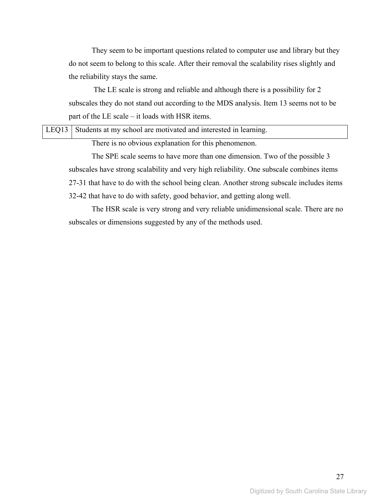They seem to be important questions related to computer use and library but they do not seem to belong to this scale. After their removal the scalability rises slightly and the reliability stays the same.

 The LE scale is strong and reliable and although there is a possibility for 2 subscales they do not stand out according to the MDS analysis. Item 13 seems not to be part of the LE scale – it loads with HSR items.

|  |                                     |  |  | LEQ13 Students at my school are motivated and interested in learning. |  |  |
|--|-------------------------------------|--|--|-----------------------------------------------------------------------|--|--|
|  | $\sim$ 1 $\sim$ 1 $\sim$ 0 $\sim$ 1 |  |  |                                                                       |  |  |

There is no obvious explanation for this phenomenon.

The SPE scale seems to have more than one dimension. Two of the possible 3 subscales have strong scalability and very high reliability. One subscale combines items 27-31 that have to do with the school being clean. Another strong subscale includes items 32-42 that have to do with safety, good behavior, and getting along well.

The HSR scale is very strong and very reliable unidimensional scale. There are no subscales or dimensions suggested by any of the methods used.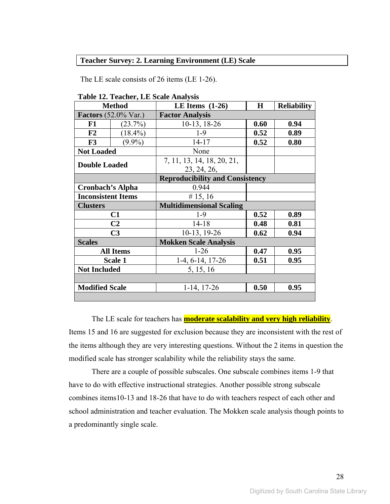#### **Teacher Survey: 2. Learning Environment (LE) Scale**

The LE scale consists of 26 items (LE 1-26).

|                                        | <b>Method</b>    | LE Items $(1-26)$                      | $\bf H$ | <b>Reliability</b> |  |  |
|----------------------------------------|------------------|----------------------------------------|---------|--------------------|--|--|
| <b>Factors</b> $(52.0\% \text{ Var.})$ |                  | <b>Factor Analysis</b>                 |         |                    |  |  |
| F1                                     | (23.7%)          | 10-13, 18-26                           | 0.60    | 0.94               |  |  |
| F2                                     | $(18.4\%)$       | $1-9$                                  | 0.52    | 0.89               |  |  |
| F3                                     | $(9.9\%)$        | $14 - 17$                              | 0.52    | 0.80               |  |  |
| <b>Not Loaded</b>                      |                  | None                                   |         |                    |  |  |
| <b>Double Loaded</b>                   |                  | 7, 11, 13, 14, 18, 20, 21,             |         |                    |  |  |
|                                        |                  | 23, 24, 26,                            |         |                    |  |  |
|                                        |                  | <b>Reproducibility and Consistency</b> |         |                    |  |  |
| <b>Cronbach's Alpha</b>                |                  | 0.944                                  |         |                    |  |  |
| <b>Inconsistent Items</b>              |                  | # 15, 16                               |         |                    |  |  |
| <b>Clusters</b>                        |                  | <b>Multidimensional Scaling</b>        |         |                    |  |  |
|                                        | C1               | $1-9$                                  | 0.52    | 0.89               |  |  |
|                                        | C <sub>2</sub>   | $14 - 18$                              | 0.48    | 0.81               |  |  |
|                                        | C <sub>3</sub>   | 10-13, 19-26                           | 0.62    | 0.94               |  |  |
| <b>Scales</b>                          |                  | <b>Mokken Scale Analysis</b>           |         |                    |  |  |
|                                        | <b>All Items</b> | $1-26$                                 | 0.47    | 0.95               |  |  |
|                                        | <b>Scale 1</b>   | 1-4, 6-14, 17-26                       | 0.51    | 0.95               |  |  |
| <b>Not Included</b>                    |                  | 5, 15, 16                              |         |                    |  |  |
|                                        |                  |                                        |         |                    |  |  |
| <b>Modified Scale</b>                  |                  | $1-14$ , 17-26                         | 0.50    | 0.95               |  |  |
|                                        |                  |                                        |         |                    |  |  |

**Table 12. Teacher, LE Scale Analysis** 

The LE scale for teachers has **moderate scalability and very high reliability**. Items 15 and 16 are suggested for exclusion because they are inconsistent with the rest of the items although they are very interesting questions. Without the 2 items in question the modified scale has stronger scalability while the reliability stays the same.

There are a couple of possible subscales. One subscale combines items 1-9 that have to do with effective instructional strategies. Another possible strong subscale combines items10-13 and 18-26 that have to do with teachers respect of each other and school administration and teacher evaluation. The Mokken scale analysis though points to a predominantly single scale.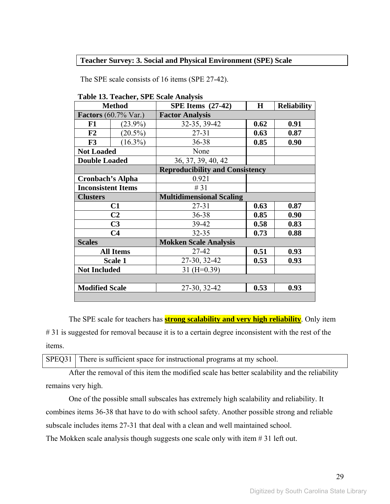#### **Teacher Survey: 3. Social and Physical Environment (SPE) Scale**

The SPE scale consists of 16 items (SPE 27-42).

|                                 | <b>Method</b>    | <b>SPE Items</b> (27-42)               | $\bf H$ | <b>Reliability</b> |  |
|---------------------------------|------------------|----------------------------------------|---------|--------------------|--|
| Factors $(60.7\% \text{ Var.})$ |                  | <b>Factor Analysis</b>                 |         |                    |  |
| F1                              | $(23.9\%)$       | 32-35, 39-42                           | 0.62    | 0.91               |  |
| F2                              | $(20.5\%)$       | $27 - 31$                              | 0.63    | 0.87               |  |
| F3                              | $(16.3\%)$       | 36-38                                  | 0.85    | 0.90               |  |
| <b>Not Loaded</b>               |                  | None                                   |         |                    |  |
| <b>Double Loaded</b>            |                  | 36, 37, 39, 40, 42                     |         |                    |  |
|                                 |                  | <b>Reproducibility and Consistency</b> |         |                    |  |
| Cronbach's Alpha                |                  | 0.921                                  |         |                    |  |
| <b>Inconsistent Items</b>       |                  | #31                                    |         |                    |  |
| <b>Clusters</b>                 |                  | <b>Multidimensional Scaling</b>        |         |                    |  |
|                                 | C1               | $27 - 31$                              | 0.63    | 0.87               |  |
|                                 | C <sub>2</sub>   | 36-38                                  | 0.85    | 0.90               |  |
|                                 | C <sub>3</sub>   | 39-42                                  | 0.58    | 0.83               |  |
|                                 | C <sub>4</sub>   | $32 - 35$                              | 0.73    | 0.88               |  |
| <b>Scales</b>                   |                  | <b>Mokken Scale Analysis</b>           |         |                    |  |
|                                 | <b>All Items</b> | 27-42                                  | 0.51    | 0.93               |  |
|                                 | Scale 1          | 27-30, 32-42                           | 0.53    | 0.93               |  |
| <b>Not Included</b>             |                  | $31 (H=0.39)$                          |         |                    |  |
|                                 |                  |                                        |         |                    |  |
| <b>Modified Scale</b>           |                  | 27-30, 32-42                           | 0.53    | 0.93               |  |
|                                 |                  |                                        |         |                    |  |

**Table 13. Teacher, SPE Scale Analysis** 

The SPE scale for teachers has **strong scalability and very high reliability**. Only item #31 is suggested for removal because it is to a certain degree inconsistent with the rest of the items.

SPEQ31 There is sufficient space for instructional programs at my school.

After the removal of this item the modified scale has better scalability and the reliability remains very high.

One of the possible small subscales has extremely high scalability and reliability. It combines items 36-38 that have to do with school safety. Another possible strong and reliable subscale includes items 27-31 that deal with a clean and well maintained school.

The Mokken scale analysis though suggests one scale only with item # 31 left out.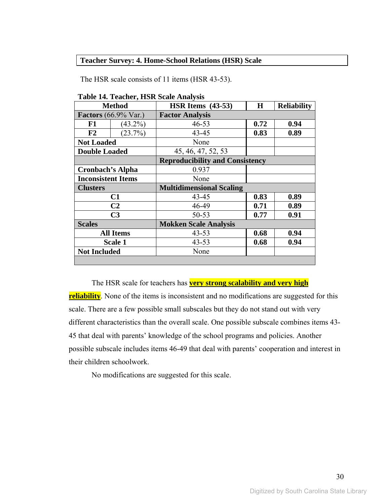#### **Teacher Survey: 4. Home-School Relations (HSR) Scale**

The HSR scale consists of 11 items (HSR 43-53).

| <b>Method</b>               |                  | <b>HSR Items</b> (43-53)               | H    | <b>Reliability</b> |  |  |
|-----------------------------|------------------|----------------------------------------|------|--------------------|--|--|
| <b>Factors</b> (66.9% Var.) |                  | <b>Factor Analysis</b>                 |      |                    |  |  |
| F1                          | $(43.2\%)$       | $46 - 53$                              | 0.72 | 0.94               |  |  |
| F <sub>2</sub>              | (23.7%)          | $43 - 45$                              | 0.83 | 0.89               |  |  |
| <b>Not Loaded</b>           |                  | None                                   |      |                    |  |  |
| <b>Double Loaded</b>        |                  | 45, 46, 47, 52, 53                     |      |                    |  |  |
|                             |                  | <b>Reproducibility and Consistency</b> |      |                    |  |  |
| <b>Cronbach's Alpha</b>     |                  | 0.937                                  |      |                    |  |  |
| <b>Inconsistent Items</b>   |                  | None                                   |      |                    |  |  |
| <b>Clusters</b>             |                  | <b>Multidimensional Scaling</b>        |      |                    |  |  |
|                             | C1               | 43-45                                  | 0.83 | 0.89               |  |  |
|                             | C <sub>2</sub>   | 46-49                                  | 0.71 | 0.89               |  |  |
|                             | C <sub>3</sub>   | 50-53                                  | 0.77 | 0.91               |  |  |
| <b>Scales</b>               |                  | <b>Mokken Scale Analysis</b>           |      |                    |  |  |
|                             | <b>All Items</b> | $43 - 53$                              | 0.68 | 0.94               |  |  |
|                             | Scale 1          | $43 - 53$                              | 0.68 | 0.94               |  |  |
| <b>Not Included</b>         |                  | None                                   |      |                    |  |  |
|                             |                  |                                        |      |                    |  |  |

**Table 14. Teacher, HSR Scale Analysis** 

The HSR scale for teachers has **very strong scalability and very high reliability**. None of the items is inconsistent and no modifications are suggested for this scale. There are a few possible small subscales but they do not stand out with very different characteristics than the overall scale. One possible subscale combines items 43- 45 that deal with parents' knowledge of the school programs and policies. Another possible subscale includes items 46-49 that deal with parents' cooperation and interest in their children schoolwork.

No modifications are suggested for this scale.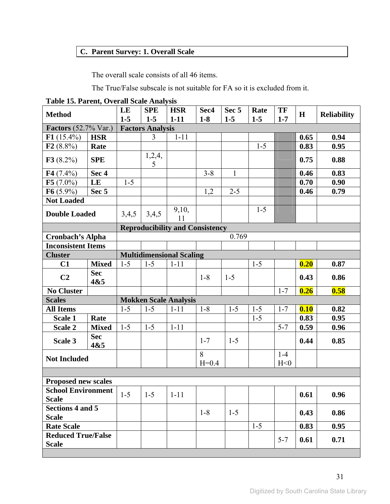## **C. Parent Survey: 1. Overall Scale**

The overall scale consists of all 46 items.

The True/False subscale is not suitable for FA so it is excluded from it.

**Table 15. Parent, Overall Scale Analysis** 

| <b>Method</b>                             |                   | LE      | <b>SPE</b>                       | <b>HSR</b>                             | Sec4    | Sec 5        | Rate    | TF      | H    | <b>Reliability</b> |
|-------------------------------------------|-------------------|---------|----------------------------------|----------------------------------------|---------|--------------|---------|---------|------|--------------------|
| <b>Factors</b> (52.7% Var.)               |                   | $1-5$   | $1-5$<br><b>Factors Analysis</b> | $1-11$                                 | $1-8$   | $1-5$        | $1-5$   | $1 - 7$ |      |                    |
| $F1(15.4\%)$                              | <b>HSR</b>        |         | $\overline{3}$                   | $1 - 11$                               |         |              |         |         | 0.65 | 0.94               |
| F2(8.8%)                                  | Rate              |         |                                  |                                        |         |              | $1 - 5$ |         | 0.83 | 0.95               |
|                                           |                   |         | 1,2,4,                           |                                        |         |              |         |         |      |                    |
| F3(8.2%)                                  | <b>SPE</b>        |         | 5                                |                                        |         |              |         |         | 0.75 | 0.88               |
| $F4(7.4\%)$                               | Sec 4             |         |                                  |                                        | $3 - 8$ | $\mathbf{1}$ |         |         | 0.46 | 0.83               |
| $F5(7.0\%)$                               | LE                | $1 - 5$ |                                  |                                        |         |              |         |         | 0.70 | 0.90               |
| $F6(5.9\%)$                               | Sec <sub>5</sub>  |         |                                  |                                        | 1,2     | $2 - 5$      |         |         | 0.46 | 0.79               |
| <b>Not Loaded</b>                         |                   |         |                                  |                                        |         |              |         |         |      |                    |
| <b>Double Loaded</b>                      |                   | 3,4,5   | 3,4,5                            | 9,10,<br>11                            |         |              | $1 - 5$ |         |      |                    |
|                                           |                   |         |                                  | <b>Reproducibility and Consistency</b> |         |              |         |         |      |                    |
| <b>Cronbach's Alpha</b>                   |                   |         |                                  |                                        |         | 0.769        |         |         |      |                    |
| <b>Inconsistent Items</b>                 |                   |         |                                  |                                        |         |              |         |         |      |                    |
| <b>Cluster</b>                            |                   |         |                                  | <b>Multidimensional Scaling</b>        |         |              |         |         |      |                    |
| C1                                        | <b>Mixed</b>      | $1 - 5$ | $1 - 5$                          | $1 - 11$                               |         |              | $1 - 5$ |         | 0.20 | 0.87               |
| C <sub>2</sub>                            | <b>Sec</b><br>4&5 |         |                                  |                                        | $1 - 8$ | $1 - 5$      |         |         | 0.43 | 0.86               |
| <b>No Cluster</b>                         |                   |         |                                  |                                        |         |              |         | $1 - 7$ | 0.26 | 0.58               |
| <b>Scales</b>                             |                   |         |                                  | <b>Mokken Scale Analysis</b>           |         |              |         |         |      |                    |
| <b>All Items</b>                          |                   | $1 - 5$ | $1 - 5$                          | $1 - 11$                               | $1 - 8$ | $1 - 5$      | $1 - 5$ | $1 - 7$ | 0.10 | 0.82               |
| Scale 1                                   | Rate              |         |                                  |                                        |         |              | $1 - 5$ |         | 0.83 | 0.95               |
| Scale 2                                   | <b>Mixed</b>      | $1-5$   | $1 - 5$                          | $1 - 11$                               |         |              |         | $5 - 7$ | 0.59 | 0.96               |
| Scale 3                                   | <b>Sec</b><br>4&5 |         |                                  |                                        | $1 - 7$ | $1 - 5$      |         |         | 0.44 | 0.85               |
|                                           |                   |         |                                  |                                        | 8       |              |         | $1-4$   |      |                    |
| <b>Not Included</b>                       |                   |         |                                  |                                        | $H=0.4$ |              |         | H<0     |      |                    |
|                                           |                   |         |                                  |                                        |         |              |         |         |      |                    |
| <b>Proposed new scales</b>                |                   |         |                                  |                                        |         |              |         |         |      |                    |
| <b>School Environment</b><br><b>Scale</b> |                   | $1 - 5$ | $1 - 5$                          | $1 - 11$                               |         |              |         |         | 0.61 | 0.96               |
| <b>Sections 4 and 5</b><br><b>Scale</b>   |                   |         |                                  |                                        | $1-8$   | $1 - 5$      |         |         | 0.43 | 0.86               |
| <b>Rate Scale</b>                         |                   |         |                                  |                                        |         |              | $1 - 5$ |         | 0.83 | 0.95               |
| <b>Reduced True/False</b>                 |                   |         |                                  |                                        |         |              |         |         |      |                    |
| <b>Scale</b>                              |                   |         |                                  |                                        |         |              |         | $5 - 7$ | 0.61 | 0.71               |
|                                           |                   |         |                                  |                                        |         |              |         |         |      |                    |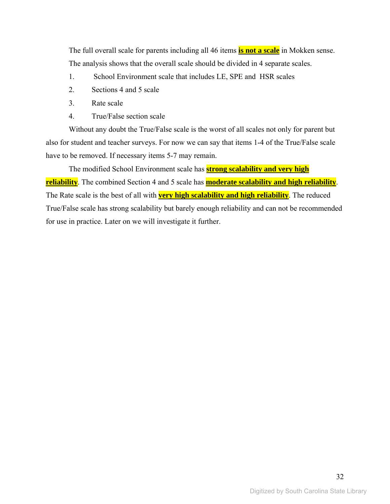The full overall scale for parents including all 46 items **is not a scale** in Mokken sense. The analysis shows that the overall scale should be divided in 4 separate scales.

- 1. School Environment scale that includes LE, SPE and HSR scales
- 2. Sections 4 and 5 scale
- 3. Rate scale
- 4. True/False section scale

Without any doubt the True/False scale is the worst of all scales not only for parent but also for student and teacher surveys. For now we can say that items 1-4 of the True/False scale have to be removed. If necessary items 5-7 may remain.

The modified School Environment scale has **strong scalability and very high reliability**. The combined Section 4 and 5 scale has **moderate scalability and high reliability**. The Rate scale is the best of all with **very high scalability and high reliability**. The reduced True/False scale has strong scalability but barely enough reliability and can not be recommended for use in practice. Later on we will investigate it further.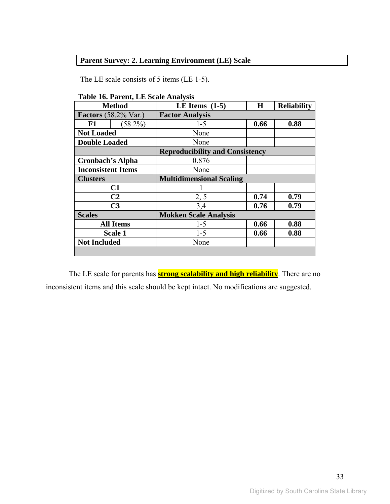## **Parent Survey: 2. Learning Environment (LE) Scale**

The LE scale consists of 5 items (LE 1-5).

| <b>Method</b>               |                  | LE Items $(1-5)$<br>H                  |      | <b>Reliability</b> |  |  |
|-----------------------------|------------------|----------------------------------------|------|--------------------|--|--|
| <b>Factors</b> (58.2% Var.) |                  | <b>Factor Analysis</b>                 |      |                    |  |  |
| F1                          | $(58.2\%)$       | $1-5$                                  | 0.66 | 0.88               |  |  |
| <b>Not Loaded</b>           |                  | None                                   |      |                    |  |  |
| <b>Double Loaded</b>        |                  | None                                   |      |                    |  |  |
|                             |                  | <b>Reproducibility and Consistency</b> |      |                    |  |  |
| <b>Cronbach's Alpha</b>     |                  | 0.876                                  |      |                    |  |  |
| <b>Inconsistent Items</b>   |                  | None                                   |      |                    |  |  |
| <b>Clusters</b>             |                  | <b>Multidimensional Scaling</b>        |      |                    |  |  |
|                             | C1               |                                        |      |                    |  |  |
|                             | C <sub>2</sub>   | 2, 5                                   | 0.74 | 0.79               |  |  |
|                             | C <sub>3</sub>   | 3,4                                    | 0.76 | 0.79               |  |  |
| <b>Scales</b>               |                  | <b>Mokken Scale Analysis</b>           |      |                    |  |  |
|                             | <b>All Items</b> | $1 - 5$                                | 0.66 | 0.88               |  |  |
|                             | <b>Scale 1</b>   | $1 - 5$                                | 0.66 | 0.88               |  |  |
| <b>Not Included</b>         |                  | None                                   |      |                    |  |  |
|                             |                  |                                        |      |                    |  |  |

The LE scale for parents has **strong scalability and high reliability**. There are no inconsistent items and this scale should be kept intact. No modifications are suggested.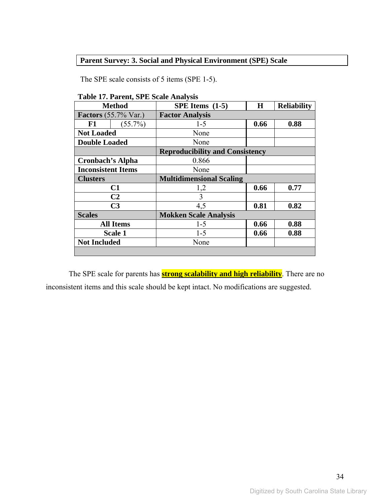## **Parent Survey: 3. Social and Physical Environment (SPE) Scale**

The SPE scale consists of 5 items (SPE 1-5).

| <b>Method</b>               |                  | SPE Items $(1-5)$                      | $\bf H$ | <b>Reliability</b> |  |  |
|-----------------------------|------------------|----------------------------------------|---------|--------------------|--|--|
| <b>Factors</b> (55.7% Var.) |                  | <b>Factor Analysis</b>                 |         |                    |  |  |
| F1                          | $(55.7\%)$       | $1 - 5$                                | 0.66    | 0.88               |  |  |
| <b>Not Loaded</b>           |                  | None                                   |         |                    |  |  |
| <b>Double Loaded</b>        |                  | None                                   |         |                    |  |  |
|                             |                  | <b>Reproducibility and Consistency</b> |         |                    |  |  |
| <b>Cronbach's Alpha</b>     |                  | 0.866                                  |         |                    |  |  |
| <b>Inconsistent Items</b>   |                  | None                                   |         |                    |  |  |
| <b>Clusters</b>             |                  | <b>Multidimensional Scaling</b>        |         |                    |  |  |
|                             | C1               | 1,2                                    | 0.66    | 0.77               |  |  |
|                             | C <sub>2</sub>   | 3                                      |         |                    |  |  |
|                             | C <sub>3</sub>   | 4,5                                    | 0.81    | 0.82               |  |  |
| <b>Scales</b>               |                  | <b>Mokken Scale Analysis</b>           |         |                    |  |  |
|                             | <b>All Items</b> | $1 - 5$                                | 0.66    | 0.88               |  |  |
|                             | <b>Scale 1</b>   | $1 - 5$                                | 0.66    | 0.88               |  |  |
| <b>Not Included</b>         |                  | None                                   |         |                    |  |  |
|                             |                  |                                        |         |                    |  |  |

**Table 17. Parent, SPE Scale Analysis** 

The SPE scale for parents has **strong scalability and high reliability**. There are no inconsistent items and this scale should be kept intact. No modifications are suggested.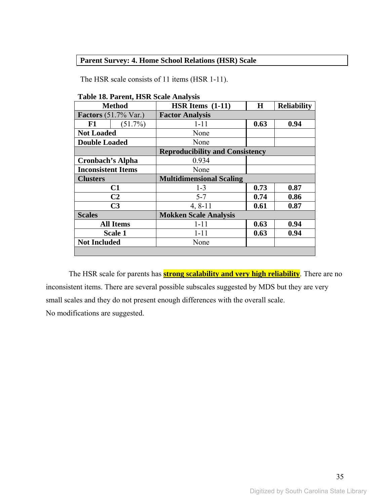## **Parent Survey: 4. Home School Relations (HSR) Scale**

The HSR scale consists of 11 items (HSR 1-11).

| <b>Method</b>               |                  | HSR Items $(1-11)$                     | $\bf H$ | <b>Reliability</b> |  |  |
|-----------------------------|------------------|----------------------------------------|---------|--------------------|--|--|
| <b>Factors</b> (51.7% Var.) |                  | <b>Factor Analysis</b>                 |         |                    |  |  |
| F1                          | $(51.7\%)$       | $1 - 11$                               | 0.63    | 0.94               |  |  |
| <b>Not Loaded</b>           |                  | None                                   |         |                    |  |  |
| <b>Double Loaded</b>        |                  | None                                   |         |                    |  |  |
|                             |                  | <b>Reproducibility and Consistency</b> |         |                    |  |  |
| <b>Cronbach's Alpha</b>     |                  | 0.934                                  |         |                    |  |  |
| <b>Inconsistent Items</b>   |                  | None                                   |         |                    |  |  |
| <b>Clusters</b>             |                  | <b>Multidimensional Scaling</b>        |         |                    |  |  |
|                             | C1               | $1 - 3$                                | 0.73    | 0.87               |  |  |
|                             | C <sub>2</sub>   | $5 - 7$                                | 0.74    | 0.86               |  |  |
|                             | C <sub>3</sub>   | $4, 8 - 11$                            | 0.61    | 0.87               |  |  |
| <b>Scales</b>               |                  | <b>Mokken Scale Analysis</b>           |         |                    |  |  |
|                             | <b>All Items</b> | $1 - 11$                               | 0.63    | 0.94               |  |  |
|                             | Scale 1          | $1 - 11$                               | 0.63    | 0.94               |  |  |
| <b>Not Included</b>         |                  | None                                   |         |                    |  |  |
|                             |                  |                                        |         |                    |  |  |

**Table 18. Parent, HSR Scale Analysis** 

The HSR scale for parents has **strong scalability and very high reliability**. There are no inconsistent items. There are several possible subscales suggested by MDS but they are very small scales and they do not present enough differences with the overall scale. No modifications are suggested.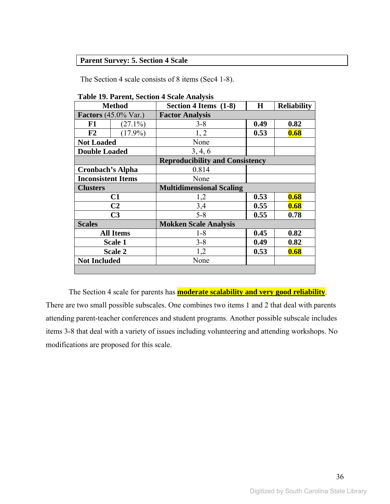## **Parent Survey: 5. Section 4 Scale**

The Section 4 scale consists of 8 items (Sec4 1-8).

| <b>Method</b>                          |                  | Section 4 Items (1-8)                  | $\bf H$<br><b>Reliability</b> |      |  |  |
|----------------------------------------|------------------|----------------------------------------|-------------------------------|------|--|--|
| <b>Factors</b> $(45.0\% \text{ Var.})$ |                  | <b>Factor Analysis</b>                 |                               |      |  |  |
| F1                                     | $(27.1\%)$       | $3 - 8$                                | 0.49                          | 0.82 |  |  |
| F2                                     | $(17.9\%)$       | 1, 2                                   | 0.53                          | 0.68 |  |  |
| <b>Not Loaded</b>                      |                  | None                                   |                               |      |  |  |
| <b>Double Loaded</b>                   |                  | 3, 4, 6                                |                               |      |  |  |
|                                        |                  | <b>Reproducibility and Consistency</b> |                               |      |  |  |
| <b>Cronbach's Alpha</b>                |                  | 0.814                                  |                               |      |  |  |
| <b>Inconsistent Items</b>              |                  | None                                   |                               |      |  |  |
| <b>Clusters</b>                        |                  | <b>Multidimensional Scaling</b>        |                               |      |  |  |
|                                        | C1               | 1,2                                    | 0.53                          | 0.68 |  |  |
|                                        | C <sub>2</sub>   | 3,4                                    | 0.55                          | 0.68 |  |  |
|                                        | C <sub>3</sub>   | $5 - 8$                                | 0.55                          | 0.78 |  |  |
| <b>Scales</b>                          |                  | <b>Mokken Scale Analysis</b>           |                               |      |  |  |
|                                        | <b>All Items</b> | $1 - 8$                                | 0.45                          | 0.82 |  |  |
|                                        | Scale 1          | $3 - 8$                                | 0.49                          | 0.82 |  |  |
|                                        | Scale 2          | 1,2                                    | 0.53                          | 0.68 |  |  |
| <b>Not Included</b>                    |                  | None                                   |                               |      |  |  |
|                                        |                  |                                        |                               |      |  |  |

**Table 19. Parent, Section 4 Scale Analysis** 

The Section 4 scale for parents has **moderate scalability and very good reliability**. There are two small possible subscales. One combines two items 1 and 2 that deal with parents attending parent-teacher conferences and student programs. Another possible subscale includes items 3-8 that deal with a variety of issues including volunteering and attending workshops. No modifications are proposed for this scale.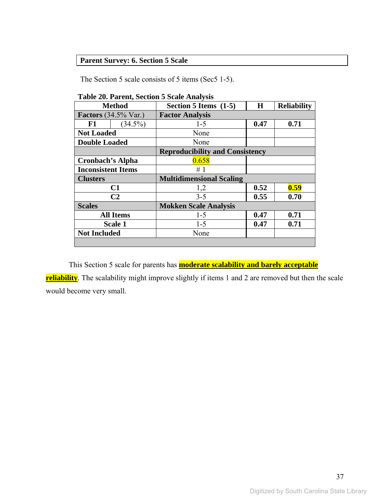## **Parent Survey: 6. Section 5 Scale**

The Section 5 scale consists of 5 items (Sec5 1-5).

| <b>Method</b>               |                  | H<br>Section 5 Items (1-5)             |      | <b>Reliability</b> |  |  |
|-----------------------------|------------------|----------------------------------------|------|--------------------|--|--|
| <b>Factors</b> (34.5% Var.) |                  | <b>Factor Analysis</b>                 |      |                    |  |  |
| F1                          | $(34.5\%)$       | $1 - 5$                                | 0.47 | 0.71               |  |  |
| <b>Not Loaded</b>           |                  | None                                   |      |                    |  |  |
| <b>Double Loaded</b>        |                  | None                                   |      |                    |  |  |
|                             |                  | <b>Reproducibility and Consistency</b> |      |                    |  |  |
| Cronbach's Alpha            |                  | 0.658                                  |      |                    |  |  |
| <b>Inconsistent Items</b>   |                  | #1                                     |      |                    |  |  |
| <b>Clusters</b>             |                  | <b>Multidimensional Scaling</b>        |      |                    |  |  |
|                             | C1               | 1,2                                    | 0.52 | 0.59               |  |  |
|                             | C <sub>2</sub>   | $3 - 5$                                | 0.55 | 0.70               |  |  |
| <b>Scales</b>               |                  | <b>Mokken Scale Analysis</b>           |      |                    |  |  |
|                             | <b>All Items</b> | $1 - 5$                                | 0.47 | 0.71               |  |  |
|                             | <b>Scale 1</b>   | $1 - 5$                                | 0.47 | 0.71               |  |  |
| <b>Not Included</b>         |                  | None                                   |      |                    |  |  |
|                             |                  |                                        |      |                    |  |  |

#### **Table 20. Parent, Section 5 Scale Analysis**

This Section 5 scale for parents has **moderate scalability and barely acceptable reliability**. The scalability might improve slightly if items 1 and 2 are removed but then the scale would become very small.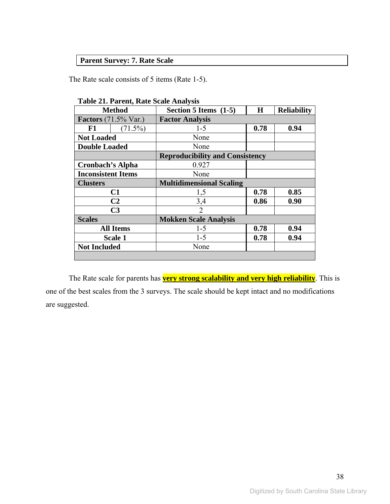## **Parent Survey: 7. Rate Scale**

The Rate scale consists of 5 items (Rate 1-5).

|                             | <b>Method</b>    | Section 5 Items (1-5)                  | H    | <b>Reliability</b> |  |  |
|-----------------------------|------------------|----------------------------------------|------|--------------------|--|--|
| <b>Factors</b> (71.5% Var.) |                  | <b>Factor Analysis</b>                 |      |                    |  |  |
| F1                          | $(71.5\%)$       | $1 - 5$                                | 0.78 | 0.94               |  |  |
| <b>Not Loaded</b>           |                  | None                                   |      |                    |  |  |
| <b>Double Loaded</b>        |                  | None                                   |      |                    |  |  |
|                             |                  | <b>Reproducibility and Consistency</b> |      |                    |  |  |
| <b>Cronbach's Alpha</b>     |                  | 0.927                                  |      |                    |  |  |
| <b>Inconsistent Items</b>   |                  | None                                   |      |                    |  |  |
| <b>Clusters</b>             |                  | <b>Multidimensional Scaling</b>        |      |                    |  |  |
|                             | C1               | 1,5                                    | 0.78 | 0.85               |  |  |
|                             | C <sub>2</sub>   | 3,4                                    | 0.86 | 0.90               |  |  |
|                             | C <sub>3</sub>   | $\overline{2}$                         |      |                    |  |  |
| <b>Scales</b>               |                  | <b>Mokken Scale Analysis</b>           |      |                    |  |  |
|                             | <b>All Items</b> | $1-5$                                  | 0.78 | 0.94               |  |  |
|                             | Scale 1          | $1 - 5$                                | 0.78 | 0.94               |  |  |
| <b>Not Included</b>         |                  | None                                   |      |                    |  |  |
|                             |                  |                                        |      |                    |  |  |

**Table 21. Parent, Rate Scale Analysis** 

The Rate scale for parents has **very strong scalability and very high reliability**. This is one of the best scales from the 3 surveys. The scale should be kept intact and no modifications are suggested.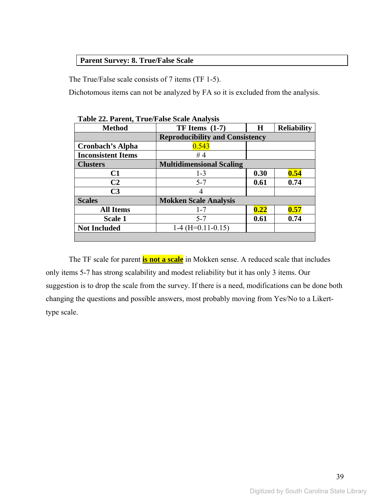### **Parent Survey: 8. True/False Scale**

The True/False scale consists of 7 items (TF 1-5).

Dichotomous items can not be analyzed by FA so it is excluded from the analysis.

| <b>Method</b>             | $TF$ Items $(1-7)$                     | H    | <b>Reliability</b> |
|---------------------------|----------------------------------------|------|--------------------|
|                           | <b>Reproducibility and Consistency</b> |      |                    |
| <b>Cronbach's Alpha</b>   | 0.543                                  |      |                    |
| <b>Inconsistent Items</b> | #4                                     |      |                    |
| <b>Clusters</b>           | <b>Multidimensional Scaling</b>        |      |                    |
| C1                        | $1 - 3$                                | 0.30 | 0.54               |
| C <sub>2</sub>            | $5 - 7$                                | 0.61 | 0.74               |
| C <sub>3</sub>            |                                        |      |                    |
| <b>Scales</b>             | <b>Mokken Scale Analysis</b>           |      |                    |
| <b>All Items</b>          | $1 - 7$                                | 0.22 | 0.57               |
| Scale 1                   | $5 - 7$                                | 0.61 | 0.74               |
| <b>Not Included</b>       | $1-4$ (H=0.11-0.15)                    |      |                    |
|                           |                                        |      |                    |

**Table 22. Parent, True/False Scale Analysis** 

The TF scale for parent **is not a scale** in Mokken sense. A reduced scale that includes only items 5-7 has strong scalability and modest reliability but it has only 3 items. Our suggestion is to drop the scale from the survey. If there is a need, modifications can be done both changing the questions and possible answers, most probably moving from Yes/No to a Likerttype scale.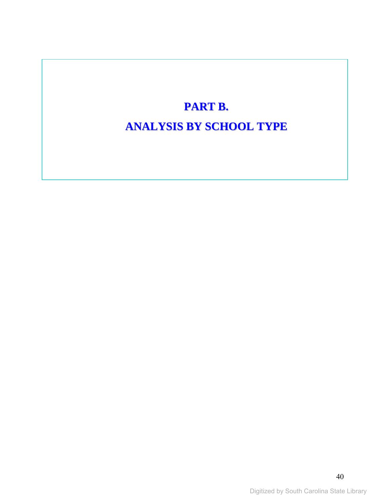# **PART B. ANALYSIS BY SCHOOL TYPE**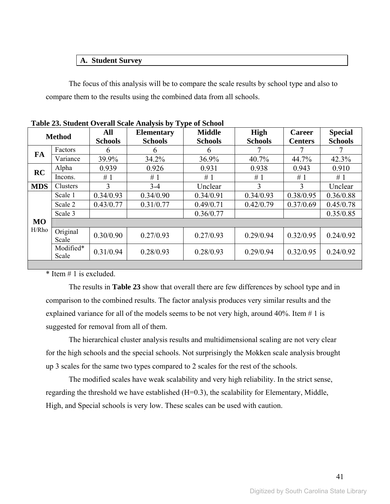#### **A. Student Survey**

The focus of this analysis will be to compare the scale results by school type and also to compare them to the results using the combined data from all schools.

|            |                    | All            | Table 25. Student Overall Scale Analysis by Type of School<br><b>Elementary</b> | <b>Middle</b>  | <b>High</b>    | <b>Career</b>  | <b>Special</b> |
|------------|--------------------|----------------|---------------------------------------------------------------------------------|----------------|----------------|----------------|----------------|
|            | <b>Method</b>      | <b>Schools</b> | <b>Schools</b>                                                                  | <b>Schools</b> | <b>Schools</b> | <b>Centers</b> | <b>Schools</b> |
| <b>FA</b>  | Factors            | 6              | 6                                                                               | 6              |                |                |                |
|            | Variance           | 39.9%          | 34.2%                                                                           | 36.9%          | 40.7%          | 44.7%          | 42.3%          |
| RC         | Alpha              | 0.939          | 0.926                                                                           | 0.931          | 0.938          | 0.943          | 0.910          |
|            | Incons.            | #1             | #1                                                                              | #1             | #1             | #1             | #1             |
| <b>MDS</b> | Clusters           | $\mathbf{3}$   | $3 - 4$                                                                         | Unclear        | 3              | 3              | Unclear        |
|            | Scale 1            | 0.34/0.93      | 0.34/0.90                                                                       | 0.34/0.91      | 0.34/0.93      | 0.38/0.95      | 0.36/0.88      |
|            | Scale 2            | 0.43/0.77      | 0.31/0.77                                                                       | 0.49/0.71      | 0.42/0.79      | 0.37/0.69      | 0.45/0.78      |
|            | Scale 3            |                |                                                                                 | 0.36/0.77      |                |                | 0.35/0.85      |
| <b>MO</b>  |                    |                |                                                                                 |                |                |                |                |
| H/Rho      | Original<br>Scale  | 0.30/0.90      | 0.27/0.93                                                                       | 0.27/0.93      | 0.29/0.94      | 0.32/0.95      | 0.24/0.92      |
|            | Modified*<br>Scale | 0.31/0.94      | 0.28/0.93                                                                       | 0.28/0.93      | 0.29/0.94      | 0.32/0.95      | 0.24/0.92      |
|            |                    |                |                                                                                 |                |                |                |                |

**Table 23. Student Overall Scale Analysis by Type of School** 

 $*$  Item  $\#$  1 is excluded.

The results in **Table 23** show that overall there are few differences by school type and in comparison to the combined results. The factor analysis produces very similar results and the explained variance for all of the models seems to be not very high, around  $40\%$ . Item  $\#$  1 is suggested for removal from all of them.

The hierarchical cluster analysis results and multidimensional scaling are not very clear for the high schools and the special schools. Not surprisingly the Mokken scale analysis brought up 3 scales for the same two types compared to 2 scales for the rest of the schools.

The modified scales have weak scalability and very high reliability. In the strict sense, regarding the threshold we have established (H=0.3), the scalability for Elementary, Middle, High, and Special schools is very low. These scales can be used with caution.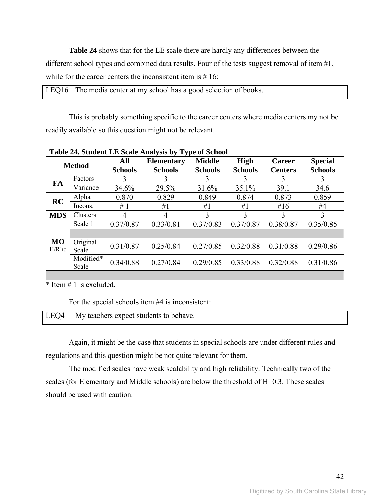**Table 24** shows that for the LE scale there are hardly any differences between the different school types and combined data results. Four of the tests suggest removal of item #1, while for the career centers the inconsistent item is #16:

| LEQ16 The media center at my school has a good selection of books. |  |
|--------------------------------------------------------------------|--|
|--------------------------------------------------------------------|--|

This is probably something specific to the career centers where media centers my not be readily available so this question might not be relevant.

|                    | <b>Method</b>      | <b>Middle</b><br>All<br><b>Elementary</b><br><b>Schools</b><br><b>Schools</b><br><b>Schools</b> |           | $\frac{1}{2}$<br><b>High</b><br><b>Schools</b> | <b>Career</b><br><b>Centers</b> | <b>Special</b><br><b>Schools</b> |           |
|--------------------|--------------------|-------------------------------------------------------------------------------------------------|-----------|------------------------------------------------|---------------------------------|----------------------------------|-----------|
| FA                 | Factors            | 3                                                                                               | 3         | 3                                              | 3                               |                                  | 3         |
|                    | Variance           | 34.6%                                                                                           | 29.5%     | 31.6%                                          | 35.1%                           | 39.1                             | 34.6      |
| RC                 | Alpha              | 0.870                                                                                           | 0.829     | 0.849                                          | 0.874                           | 0.873                            | 0.859     |
|                    | Incons.            | #1                                                                                              | #1        | #1                                             | #1                              | #16                              | #4        |
| <b>MDS</b>         | Clusters           | 4                                                                                               | 4         | 3                                              | 3                               | 3                                | 3         |
|                    | Scale 1            | 0.37/0.87                                                                                       | 0.33/0.81 | 0.37/0.83                                      | 0.37/0.87                       | 0.38/0.87                        | 0.35/0.85 |
|                    |                    |                                                                                                 |           |                                                |                                 |                                  |           |
| <b>MO</b><br>H/Rho | Original<br>Scale  | 0.31/0.87                                                                                       | 0.25/0.84 | 0.27/0.85                                      | 0.32/0.88                       | 0.31/0.88                        | 0.29/0.86 |
|                    | Modified*<br>Scale | 0.34/0.88                                                                                       | 0.27/0.84 | 0.29/0.85                                      | 0.33/0.88                       | 0.32/0.88                        | 0.31/0.86 |
|                    |                    |                                                                                                 |           |                                                |                                 |                                  |           |

**Table 24. Student LE Scale Analysis by Type of School** 

 $*$  Item  $# 1$  is excluded.

For the special schools item #4 is inconsistent:

| LEQ4 $\vert$ My teachers expect students to behave. |
|-----------------------------------------------------|
|                                                     |

Again, it might be the case that students in special schools are under different rules and regulations and this question might be not quite relevant for them.

The modified scales have weak scalability and high reliability. Technically two of the scales (for Elementary and Middle schools) are below the threshold of H=0.3. These scales should be used with caution.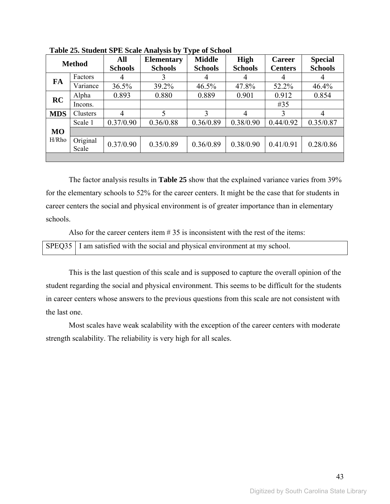| <b>Method</b> |                   | All<br><b>Schools</b> | <b>Elementary</b><br><b>Schools</b> | <b>Middle</b><br><b>Schools</b> | <b>High</b><br><b>Schools</b> | <b>Career</b><br><b>Centers</b> | <b>Special</b><br><b>Schools</b> |
|---------------|-------------------|-----------------------|-------------------------------------|---------------------------------|-------------------------------|---------------------------------|----------------------------------|
| FA            | Factors           |                       |                                     |                                 | 4                             | 4                               |                                  |
|               | Variance          | 36.5%                 | 39.2%                               | 46.5%                           | 47.8%                         | 52.2%                           | 46.4%                            |
| <b>RC</b>     | Alpha             | 0.893                 | 0.880                               | 0.889                           | 0.901                         | 0.912                           | 0.854                            |
|               | Incons.           |                       |                                     |                                 |                               | #35                             |                                  |
| <b>MDS</b>    | Clusters          | 4                     | 5                                   | 3                               | 4                             | 3                               | 4                                |
|               | Scale 1           | 0.37/0.90             | 0.36/0.88                           | 0.36/0.89                       | 0.38/0.90                     | 0.44/0.92                       | 0.35/0.87                        |
| <b>MO</b>     |                   |                       |                                     |                                 |                               |                                 |                                  |
| H/Rho         | Original<br>Scale | 0.37/0.90             | 0.35/0.89                           | 0.36/0.89                       | 0.38/0.90                     | 0.41/0.91                       | 0.28/0.86                        |
|               |                   |                       |                                     |                                 |                               |                                 |                                  |

**Table 25. Student SPE Scale Analysis by Type of School** 

The factor analysis results in **Table 25** show that the explained variance varies from 39% for the elementary schools to 52% for the career centers. It might be the case that for students in career centers the social and physical environment is of greater importance than in elementary schools.

Also for the career centers item  $# 35$  is inconsistent with the rest of the items:

|  | SPEQ35   I am satisfied with the social and physical environment at my school. |
|--|--------------------------------------------------------------------------------|
|--|--------------------------------------------------------------------------------|

This is the last question of this scale and is supposed to capture the overall opinion of the student regarding the social and physical environment. This seems to be difficult for the students in career centers whose answers to the previous questions from this scale are not consistent with the last one.

Most scales have weak scalability with the exception of the career centers with moderate strength scalability. The reliability is very high for all scales.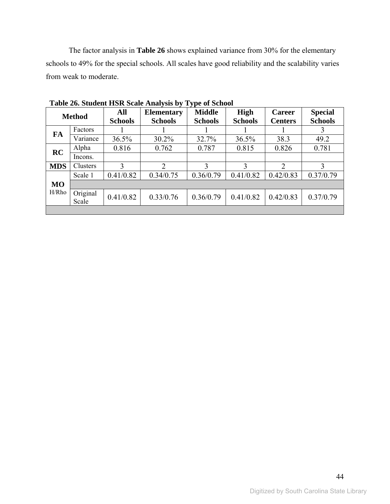The factor analysis in **Table 26** shows explained variance from 30% for the elementary schools to 49% for the special schools. All scales have good reliability and the scalability varies from weak to moderate.

| <b>Method</b> |                   | All<br><b>Elementary</b><br><b>Schools</b><br><b>Schools</b> |                | <b>Middle</b><br><b>Schools</b> | <b>High</b><br><b>Schools</b> |               | <b>Special</b><br><b>Schools</b> |  |
|---------------|-------------------|--------------------------------------------------------------|----------------|---------------------------------|-------------------------------|---------------|----------------------------------|--|
| FA            | Factors           |                                                              |                |                                 |                               |               |                                  |  |
|               | Variance          | 36.5%                                                        | $30.2\%$       | 32.7%                           | 36.5%                         | 38.3          | 49.2                             |  |
| RC            | Alpha             | 0.816                                                        | 0.762          | 0.787                           | 0.815                         | 0.826         | 0.781                            |  |
|               | Incons.           |                                                              |                |                                 |                               |               |                                  |  |
| <b>MDS</b>    | Clusters          | 3                                                            | $\mathfrak{D}$ | 3                               | 3                             | $\mathcal{L}$ | 3                                |  |
|               | Scale 1           | 0.41/0.82                                                    | 0.34/0.75      | 0.36/0.79                       | 0.41/0.82                     | 0.42/0.83     | 0.37/0.79                        |  |
| <b>MO</b>     |                   |                                                              |                |                                 |                               |               |                                  |  |
| H/Rho         | Original<br>Scale | 0.41/0.82                                                    | 0.33/0.76      | 0.36/0.79                       | 0.41/0.82                     | 0.42/0.83     | 0.37/0.79                        |  |
|               |                   |                                                              |                |                                 |                               |               |                                  |  |

**Table 26. Student HSR Scale Analysis by Type of School**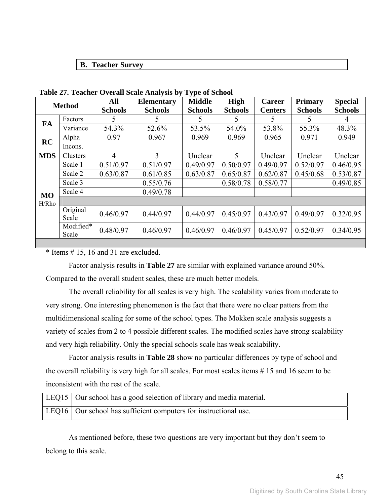#### **B. Teacher Survey**

|            | <b>Method</b>      | All            | <b>Elementary</b> | $\sim$ $\mu$ $\sim$ $\sim$ $\sim$ $\sim$ $\sim$<br><b>Middle</b> | <b>High</b>    | <b>Career</b>  | <b>Primary</b> | <b>Special</b> |
|------------|--------------------|----------------|-------------------|------------------------------------------------------------------|----------------|----------------|----------------|----------------|
|            |                    | <b>Schools</b> | <b>Schools</b>    | <b>Schools</b>                                                   | <b>Schools</b> | <b>Centers</b> | <b>Schools</b> | <b>Schools</b> |
| FA         | Factors            | 5              | 5.                | 5                                                                | 5              | 5              | 5              | 4              |
|            | Variance           | 54.3%          | 52.6%             | 53.5%                                                            | 54.0%          | 53.8%          | 55.3%          | 48.3%          |
| <b>RC</b>  | Alpha              | 0.97           | 0.967             | 0.969                                                            | 0.969          | 0.965          | 0.971          | 0.949          |
|            | Incons.            |                |                   |                                                                  |                |                |                |                |
| <b>MDS</b> | Clusters           | 4              | 3                 | Unclear                                                          | 5              | Unclear        | Unclear        | Unclear        |
|            | Scale 1            | 0.51/0.97      | 0.51/0.97         | 0.49/0.97                                                        | 0.50/0.97      | 0.49/0.97      | 0.52/0.97      | 0.46/0.95      |
|            | Scale 2            | 0.63/0.87      | 0.61/0.85         | 0.63/0.87                                                        | 0.65/0.87      | 0.62/0.87      | 0.45/0.68      | 0.53/0.87      |
|            | Scale 3            |                | 0.55/0.76         |                                                                  | 0.58/0.78      | 0.58/0.77      |                | 0.49/0.85      |
| <b>MO</b>  | Scale 4            |                | 0.49/0.78         |                                                                  |                |                |                |                |
| H/Rho      |                    |                |                   |                                                                  |                |                |                |                |
|            | Original<br>Scale  | 0.46/0.97      | 0.44/0.97         | 0.44/0.97                                                        | 0.45/0.97      | 0.43/0.97      | 0.49/0.97      | 0.32/0.95      |
|            | Modified*<br>Scale | 0.48/0.97      | 0.46/0.97         | 0.46/0.97                                                        | 0.46/0.97      | 0.45/0.97      | 0.52/0.97      | 0.34/0.95      |

**Table 27. Teacher Overall Scale Analysis by Type of School** 

\* Items # 15, 16 and 31 are excluded.

Factor analysis results in **Table 27** are similar with explained variance around 50%. Compared to the overall student scales, these are much better models.

The overall reliability for all scales is very high. The scalability varies from moderate to very strong. One interesting phenomenon is the fact that there were no clear patters from the multidimensional scaling for some of the school types. The Mokken scale analysis suggests a variety of scales from 2 to 4 possible different scales. The modified scales have strong scalability and very high reliability. Only the special schools scale has weak scalability.

Factor analysis results in **Table 28** show no particular differences by type of school and the overall reliability is very high for all scales. For most scales items # 15 and 16 seem to be inconsistent with the rest of the scale.

| LEQ15   Our school has a good selection of library and media material. |
|------------------------------------------------------------------------|
| LEQ16   Our school has sufficient computers for instructional use.     |

As mentioned before, these two questions are very important but they don't seem to belong to this scale.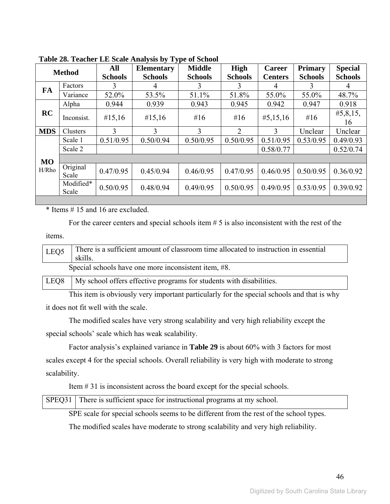|            | <b>Method</b>      | All<br><b>Schools</b> | <b>Elementary</b><br><b>Schools</b> | <b>Middle</b><br><b>Schools</b> | High<br><b>Schools</b> | Career<br><b>Centers</b> | <b>Primary</b><br><b>Schools</b> | <b>Special</b><br><b>Schools</b> |
|------------|--------------------|-----------------------|-------------------------------------|---------------------------------|------------------------|--------------------------|----------------------------------|----------------------------------|
| FA         | Factors            | 3                     | 4                                   | 3                               | 3                      | 4                        | 3                                | 4                                |
|            | Variance           | 52.0%                 | 53.5%                               | 51.1%                           | 51.8%                  | 55.0%                    | 55.0%                            | 48.7%                            |
|            | Alpha              | 0.944                 | 0.939                               | 0.943                           | 0.945                  | 0.942                    | 0.947                            | 0.918                            |
| RC         | Inconsist.         | #15,16                | #15,16                              | # $16$                          | #16                    | #5,15,16                 | # $16$                           | #5,8,15,<br>16                   |
| <b>MDS</b> | Clusters           | 3                     | 3                                   | 3                               | $\overline{2}$         | 3                        | Unclear                          | Unclear                          |
|            | Scale 1            | 0.51/0.95             | 0.50/0.94                           | 0.50/0.95                       | 0.50/0.95              | 0.51/0.95                | 0.53/0.95                        | 0.49/0.93                        |
|            | Scale 2            |                       |                                     |                                 |                        | 0.58/0.77                |                                  | 0.52/0.74                        |
| <b>MO</b>  |                    |                       |                                     |                                 |                        |                          |                                  |                                  |
| H/Rho      | Original<br>Scale  | 0.47/0.95             | 0.45/0.94                           | 0.46/0.95                       | 0.47/0.95              | 0.46/0.95                | 0.50/0.95                        | 0.36/0.92                        |
|            | Modified*<br>Scale | 0.50/0.95             | 0.48/0.94                           | 0.49/0.95                       | 0.50/0.95              | 0.49/0.95                | 0.53/0.95                        | 0.39/0.92                        |

**Table 28. Teacher LE Scale Analysis by Type of School** 

\* Items # 15 and 16 are excluded.

For the career centers and special schools item # 5 is also inconsistent with the rest of the

items.

| LEQ5             | There is a sufficient amount of classroom time allocated to instruction in essential<br>skills. |  |  |  |  |  |  |  |
|------------------|-------------------------------------------------------------------------------------------------|--|--|--|--|--|--|--|
|                  | Special schools have one more inconsistent item, #8.                                            |  |  |  |  |  |  |  |
| LEO <sub>8</sub> | My school offers effective programs for students with disabilities.                             |  |  |  |  |  |  |  |

This item is obviously very important particularly for the special schools and that is why it does not fit well with the scale.

The modified scales have very strong scalability and very high reliability except the special schools' scale which has weak scalability.

Factor analysis's explained variance in **Table 29** is about 60% with 3 factors for most scales except 4 for the special schools. Overall reliability is very high with moderate to strong scalability.

Item # 31 is inconsistent across the board except for the special schools.

| SPEQ31 There is sufficient space for instructional programs at my school. |  |
|---------------------------------------------------------------------------|--|
|                                                                           |  |

SPE scale for special schools seems to be different from the rest of the school types.

The modified scales have moderate to strong scalability and very high reliability.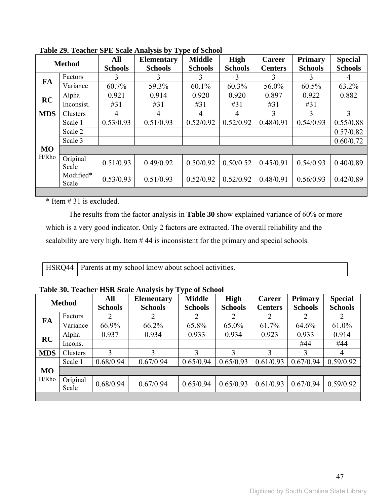|            | <b>Method</b>      | All<br><b>Schools</b> | .<br><b>Elementary</b><br><b>Schools</b> | <b>Middle</b><br><b>Schools</b> | <b>High</b><br><b>Schools</b> | <b>Career</b><br><b>Centers</b> | <b>Primary</b><br><b>Schools</b> | <b>Special</b><br><b>Schools</b> |
|------------|--------------------|-----------------------|------------------------------------------|---------------------------------|-------------------------------|---------------------------------|----------------------------------|----------------------------------|
| <b>FA</b>  | Factors            | 3                     |                                          | 3                               | 3                             | 3                               | 3                                | 4                                |
|            | Variance           | 60.7%                 | 59.3%                                    | $60.1\%$                        | 60.3%                         | 56.0%                           | $60.5\%$                         | 63.2%                            |
| <b>RC</b>  | Alpha              | 0.921                 | 0.914                                    | 0.920                           | 0.920                         | 0.897                           | 0.922                            | 0.882                            |
|            | Inconsist.         | #31                   | #31                                      | #31                             | #31                           | #31                             | #31                              |                                  |
| <b>MDS</b> | Clusters           | 4                     | 4                                        | 4                               | 4                             | 3                               | 3                                | 3                                |
|            | Scale 1            | 0.53/0.93             | 0.51/0.93                                | 0.52/0.92                       | 0.52/0.92                     | 0.48/0.91                       | 0.54/0.93                        | 0.55/0.88                        |
|            | Scale 2            |                       |                                          |                                 |                               |                                 |                                  | 0.57/0.82                        |
|            | Scale 3            |                       |                                          |                                 |                               |                                 |                                  | 0.60/0.72                        |
| <b>MO</b>  |                    |                       |                                          |                                 |                               |                                 |                                  |                                  |
| H/Rho      | Original<br>Scale  | 0.51/0.93             | 0.49/0.92                                | 0.50/0.92                       | 0.50/0.52                     | 0.45/0.91                       | 0.54/0.93                        | 0.40/0.89                        |
|            | Modified*<br>Scale | 0.53/0.93             | 0.51/0.93                                | 0.52/0.92                       | 0.52/0.92                     | 0.48/0.91                       | 0.56/0.93                        | 0.42/0.89                        |
|            |                    |                       |                                          |                                 |                               |                                 |                                  |                                  |

**Table 29. Teacher SPE Scale Analysis by Type of School** 

\* Item # 31 is excluded.

The results from the factor analysis in **Table 30** show explained variance of 60% or more which is a very good indicator. Only 2 factors are extracted. The overall reliability and the scalability are very high. Item # 44 is inconsistent for the primary and special schools.

HSRQ44 Parents at my school know about school activities.

|            | <b>Method</b>     | All                         | <b>Elementary</b> | ັ<br><b>Middle</b> | High           | <b>Career</b>  | <b>Primary</b> | <b>Special</b> |
|------------|-------------------|-----------------------------|-------------------|--------------------|----------------|----------------|----------------|----------------|
|            |                   | <b>Schools</b>              | <b>Schools</b>    | <b>Schools</b>     | <b>Schools</b> | <b>Centers</b> | <b>Schools</b> | <b>Schools</b> |
| FA         | Factors           | $\mathcal{D}_{\mathcal{L}}$ |                   |                    | 2              | 2              | 2              | 2              |
|            | Variance          | 66.9%                       | 66.2%             | 65.8%              | 65.0%          | 61.7%          | 64.6%          | 61.0%          |
| <b>RC</b>  | Alpha             | 0.937                       | 0.934             | 0.933              | 0.934          | 0.923          | 0.933          | 0.914          |
|            | lncons.           |                             |                   |                    |                |                | #44            | #44            |
| <b>MDS</b> | Clusters          |                             | 3                 |                    | 3              | 3              | 3              | $\overline{4}$ |
|            | Scale 1           | 0.68/0.94                   | 0.67/0.94         | 0.65/0.94          | 0.65/0.93      | 0.61/0.93      | 0.67/0.94      | 0.59/0.92      |
| <b>MO</b>  |                   |                             |                   |                    |                |                |                |                |
| H/Rho      | Original<br>Scale | 0.68/0.94                   | 0.67/0.94         | 0.65/0.94          | 0.65/0.93      | 0.61/0.93      | 0.67/0.94      | 0.59/0.92      |
|            |                   |                             |                   |                    |                |                |                |                |

### **Table 30. Teacher HSR Scale Analysis by Type of School**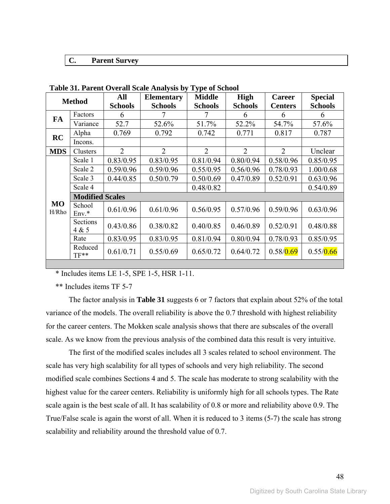#### **C. Parent Survey**

|                    |                        | All            | <b>Elementary</b> | <b>Middle</b>  | <b>High</b>    | <b>Career</b>  | <b>Special</b> |  |  |
|--------------------|------------------------|----------------|-------------------|----------------|----------------|----------------|----------------|--|--|
|                    | <b>Method</b>          | <b>Schools</b> | <b>Schools</b>    | <b>Schools</b> | <b>Schools</b> | <b>Centers</b> | <b>Schools</b> |  |  |
| FA                 | Factors                | 6              |                   |                | 6              | 6              | 6              |  |  |
|                    | Variance               | 52.7           | 52.6%             | 51.7%          | 52.2%          | 54.7%          | 57.6%          |  |  |
| <b>RC</b>          | Alpha                  | 0.769          | 0.792             | 0.742          | 0.771          | 0.817          | 0.787          |  |  |
|                    | Incons.                |                |                   |                |                |                |                |  |  |
| <b>MDS</b>         | Clusters               | $\overline{2}$ | $\overline{2}$    | $\overline{2}$ | $\overline{2}$ | $\overline{2}$ | Unclear        |  |  |
|                    | Scale 1                | 0.83/0.95      | 0.83/0.95         | 0.81/0.94      | 0.80/0.94      | 0.58/0.96      | 0.85/0.95      |  |  |
|                    | Scale 2                | 0.59/0.96      | 0.59/0.96         | 0.55/0.95      | 0.56/0.96      | 0.78/0.93      | 1.00/0.68      |  |  |
|                    | Scale 3                | 0.44/0.85      | 0.50/0.79         | 0.50/0.69      | 0.47/0.89      | 0.52/0.91      | 0.63/0.96      |  |  |
|                    | Scale 4                |                |                   | 0.48/0.82      |                |                | 0.54/0.89      |  |  |
|                    | <b>Modified Scales</b> |                |                   |                |                |                |                |  |  |
| <b>MO</b><br>H/Rho | School<br>$Env.*$      | 0.61/0.96      | 0.61/0.96         | 0.56/0.95      | 0.57/0.96      | 0.59/0.96      | 0.63/0.96      |  |  |
|                    | Sections<br>4 & 5      | 0.43/0.86      | 0.38/0.82         | 0.40/0.85      | 0.46/0.89      | 0.52/0.91      | 0.48/0.88      |  |  |
|                    | Rate                   | 0.83/0.95      | 0.83/0.95         | 0.81/0.94      | 0.80/0.94      | 0.78/0.93      | 0.85/0.95      |  |  |
|                    | Reduced<br>$TF**$      | 0.61/0.71      | 0.55/0.69         | 0.65/0.72      | 0.64/0.72      | 0.58/0.69      | 0.55/0.66      |  |  |

**Table 31. Parent Overall Scale Analysis by Type of School** 

\* Includes items LE 1-5, SPE 1-5, HSR 1-11.

\*\* Includes items TF 5-7

The factor analysis in **Table 31** suggests 6 or 7 factors that explain about 52% of the total variance of the models. The overall reliability is above the 0.7 threshold with highest reliability for the career centers. The Mokken scale analysis shows that there are subscales of the overall scale. As we know from the previous analysis of the combined data this result is very intuitive.

The first of the modified scales includes all 3 scales related to school environment. The scale has very high scalability for all types of schools and very high reliability. The second modified scale combines Sections 4 and 5. The scale has moderate to strong scalability with the highest value for the career centers. Reliability is uniformly high for all schools types. The Rate scale again is the best scale of all. It has scalability of 0.8 or more and reliability above 0.9. The True/False scale is again the worst of all. When it is reduced to 3 items (5-7) the scale has strong scalability and reliability around the threshold value of 0.7.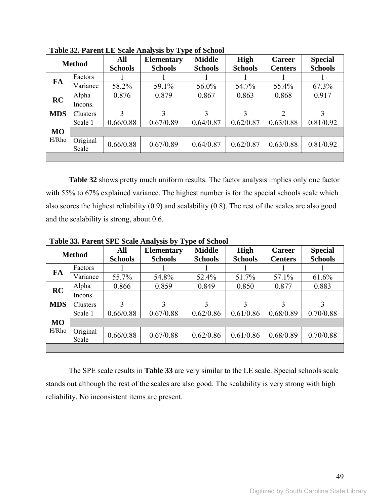|            | <b>Method</b>     | All<br><b>Schools</b> | <b>Elementary</b><br><b>Schools</b> | <b>Middle</b><br><b>Schools</b> | <b>High</b><br><b>Schools</b> | <b>Career</b><br><b>Centers</b> | <b>Special</b><br><b>Schools</b> |
|------------|-------------------|-----------------------|-------------------------------------|---------------------------------|-------------------------------|---------------------------------|----------------------------------|
| FA         | Factors           |                       |                                     |                                 |                               |                                 |                                  |
|            | Variance          | 58.2%                 | 59.1%                               | 56.0%                           | 54.7%                         | 55.4%                           | 67.3%                            |
| <b>RC</b>  | Alpha             | 0.876                 | 0.879                               | 0.867                           | 0.863                         | 0.868                           | 0.917                            |
|            | Incons.           |                       |                                     |                                 |                               |                                 |                                  |
| <b>MDS</b> | Clusters          | $\mathcal{E}$         | 3                                   | 3                               | 3                             | 2                               | 3                                |
|            | Scale 1           | 0.66/0.88             | 0.67/0.89                           | 0.64/0.87                       | 0.62/0.87                     | 0.63/0.88                       | 0.81/0.92                        |
| <b>MO</b>  |                   |                       |                                     |                                 |                               |                                 |                                  |
| H/Rho      | Original<br>Scale | 0.66/0.88             | 0.67/0.89                           | 0.64/0.87                       | 0.62/0.87                     | 0.63/0.88                       | 0.81/0.92                        |
|            |                   |                       |                                     |                                 |                               |                                 |                                  |

**Table 32. Parent LE Scale Analysis by Type of School** 

**Table 32** shows pretty much uniform results. The factor analysis implies only one factor with 55% to 67% explained variance. The highest number is for the special schools scale which also scores the highest reliability (0.9) and scalability (0.8). The rest of the scales are also good and the scalability is strong, about 0.6.

|            | Table 33. I aftent St E Scale Analysis by Type of School |                       |                                     |                                 |                        |                                 |                                  |
|------------|----------------------------------------------------------|-----------------------|-------------------------------------|---------------------------------|------------------------|---------------------------------|----------------------------------|
|            | <b>Method</b>                                            | All<br><b>Schools</b> | <b>Elementary</b><br><b>Schools</b> | <b>Middle</b><br><b>Schools</b> | High<br><b>Schools</b> | <b>Career</b><br><b>Centers</b> | <b>Special</b><br><b>Schools</b> |
| FA         | Factors                                                  |                       |                                     |                                 |                        |                                 |                                  |
|            | Variance                                                 | 55.7%                 | 54.8%                               | 52.4%                           | 51.7%                  | 57.1%                           | 61.6%                            |
| RC         | Alpha                                                    | 0.866                 | 0.859                               | 0.849                           | 0.850                  | 0.877                           | 0.883                            |
|            | Incons.                                                  |                       |                                     |                                 |                        |                                 |                                  |
| <b>MDS</b> | Clusters                                                 |                       | 3                                   | 3                               | 3                      | 3                               | 3                                |
|            | Scale 1                                                  | 0.66/0.88             | 0.67/0.88                           | 0.62/0.86                       | 0.61/0.86              | 0.68/0.89                       | 0.70/0.88                        |
| <b>MO</b>  |                                                          |                       |                                     |                                 |                        |                                 |                                  |
| H/Rho      | Original<br>Scale                                        | 0.66/0.88             | 0.67/0.88                           | 0.62/0.86                       | 0.61/0.86              | 0.68/0.89                       | 0.70/0.88                        |
|            |                                                          |                       |                                     |                                 |                        |                                 |                                  |

**Table 33. Parent SPE Scale Analysis by Type of School** 

The SPE scale results in **Table 33** are very similar to the LE scale. Special schools scale stands out although the rest of the scales are also good. The scalability is very strong with high reliability. No inconsistent items are present.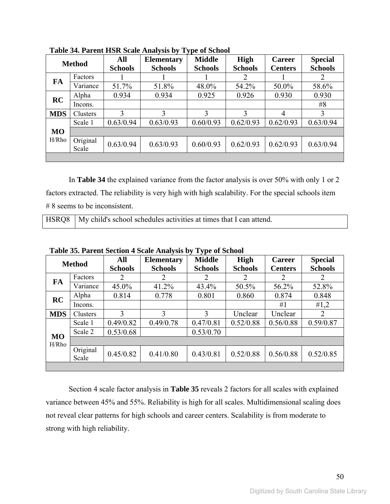|            | <b>Method</b>     | All<br><b>Schools</b> | <b>Elementary</b><br><b>Schools</b> | <b>Middle</b><br><b>Schools</b> | <b>High</b><br><b>Schools</b> | <b>Career</b><br><b>Centers</b> | <b>Special</b><br><b>Schools</b> |
|------------|-------------------|-----------------------|-------------------------------------|---------------------------------|-------------------------------|---------------------------------|----------------------------------|
| FA         | Factors           |                       |                                     |                                 | 2                             |                                 | 2                                |
|            | Variance          | 51.7%                 | 51.8%                               | 48.0%                           | 54.2%                         | 50.0%                           | 58.6%                            |
| RC         | Alpha             | 0.934                 | 0.934                               | 0.925                           | 0.926                         | 0.930                           | 0.930                            |
|            | Incons.           |                       |                                     |                                 |                               |                                 | #8                               |
| <b>MDS</b> | Clusters          | 3                     | 3                                   | 3                               | 3                             | 4                               | 3                                |
|            | Scale 1           | 0.63/0.94             | 0.63/0.93                           | 0.60/0.93                       | 0.62/0.93                     | 0.62/0.93                       | 0.63/0.94                        |
| <b>MO</b>  |                   |                       |                                     |                                 |                               |                                 |                                  |
| H/Rho      | Original<br>Scale | 0.63/0.94             | 0.63/0.93                           | 0.60/0.93                       | 0.62/0.93                     | 0.62/0.93                       | 0.63/0.94                        |
|            |                   |                       |                                     |                                 |                               |                                 |                                  |

**Table 34. Parent HSR Scale Analysis by Type of School** 

In **Table 34** the explained variance from the factor analysis is over 50% with only 1 or 2 factors extracted. The reliability is very high with high scalability. For the special schools item # 8 seems to be inconsistent.

|  | HSRQ8   My child's school schedules activities at times that I can attend. |
|--|----------------------------------------------------------------------------|
|--|----------------------------------------------------------------------------|

|            | <b>Method</b>     | All<br><b>Schools</b> | <b>Elementary</b><br><b>Schools</b> | ັ້<br><b>Middle</b><br><b>Schools</b> | High<br><b>Schools</b> | <b>Career</b><br><b>Centers</b> | <b>Special</b><br><b>Schools</b> |
|------------|-------------------|-----------------------|-------------------------------------|---------------------------------------|------------------------|---------------------------------|----------------------------------|
| FA         | Factors           | 2                     | 2                                   | $\overline{2}$                        | 2                      | 2                               | 2                                |
|            | Variance          | 45.0%                 | 41.2%                               | 43.4%                                 | 50.5%                  | 56.2%                           | 52.8%                            |
| RC         | Alpha             | 0.814                 | 0.778                               | 0.801                                 | 0.860                  | 0.874                           | 0.848                            |
|            | Incons.           |                       |                                     |                                       |                        | #1                              | #1,2                             |
| <b>MDS</b> | Clusters          | 3                     | 3                                   | 3                                     | Unclear                | Unclear                         | 2                                |
|            | Scale 1           | 0.49/0.82             | 0.49/0.78                           | 0.47/0.81                             | 0.52/0.88              | 0.56/0.88                       | 0.59/0.87                        |
| <b>MO</b>  | Scale 2           | 0.53/0.68             |                                     | 0.53/0.70                             |                        |                                 |                                  |
| H/Rho      |                   |                       |                                     |                                       |                        |                                 |                                  |
|            | Original<br>Scale | 0.45/0.82             | 0.41/0.80                           | 0.43/0.81                             | 0.52/0.88              | 0.56/0.88                       | 0.52/0.85                        |
|            |                   |                       |                                     |                                       |                        |                                 |                                  |

**Table 35. Parent Section 4 Scale Analysis by Type of School** 

Section 4 scale factor analysis in **Table 35** reveals 2 factors for all scales with explained variance between 45% and 55%. Reliability is high for all scales. Multidimensional scaling does not reveal clear patterns for high schools and career centers. Scalability is from moderate to strong with high reliability.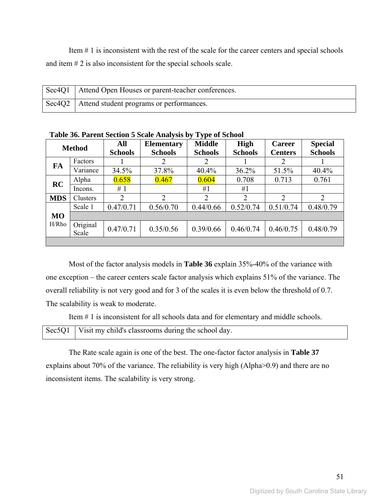Item # 1 is inconsistent with the rest of the scale for the career centers and special schools and item # 2 is also inconsistent for the special schools scale.

| Sec4Q1   Attend Open Houses or parent-teacher conferences. |
|------------------------------------------------------------|
| Sec4Q2   Attend student programs or performances.          |

| <b>Method</b> |                   | All            | <b>Elementary</b> | <b>Middle</b>  | <b>High</b>    | <b>Career</b>  | <b>Special</b> |
|---------------|-------------------|----------------|-------------------|----------------|----------------|----------------|----------------|
|               |                   | <b>Schools</b> | <b>Schools</b>    | <b>Schools</b> | <b>Schools</b> | <b>Centers</b> | <b>Schools</b> |
| FA            | Factors           |                | 2                 | 2              |                | 2              |                |
|               | Variance          | 34.5%          | 37.8%             | 40.4%          | 36.2%          | 51.5%          | 40.4%          |
| RC            | Alpha             | 0.658          | 0.467             | 0.604          | 0.708          | 0.713          | 0.761          |
|               | Incons.           | #1             |                   | #1             | #1             |                |                |
| <b>MDS</b>    | Clusters          | 2              | 2                 | 2              | 2              | $\overline{2}$ | $\overline{2}$ |
|               | Scale 1           | 0.47/0.71      | 0.56/0.70         | 0.44/0.66      | 0.52/0.74      | 0.51/0.74      | 0.48/0.79      |
| <b>MO</b>     |                   |                |                   |                |                |                |                |
| H/Rho         | Original<br>Scale | 0.47/0.71      | 0.35/0.56         | 0.39/0.66      | 0.46/0.74      | 0.46/0.75      | 0.48/0.79      |
|               |                   |                |                   |                |                |                |                |

**Table 36. Parent Section 5 Scale Analysis by Type of School** 

Most of the factor analysis models in **Table 36** explain 35%-40% of the variance with one exception – the career centers scale factor analysis which explains 51% of the variance. The overall reliability is not very good and for 3 of the scales it is even below the threshold of 0.7. The scalability is weak to moderate.

Item # 1 is inconsistent for all schools data and for elementary and middle schools.

| Sec5Q1   Visit my child's classrooms during the school day. |  |
|-------------------------------------------------------------|--|
|-------------------------------------------------------------|--|

The Rate scale again is one of the best. The one-factor factor analysis in **Table 37** explains about 70% of the variance. The reliability is very high (Alpha>0.9) and there are no inconsistent items. The scalability is very strong.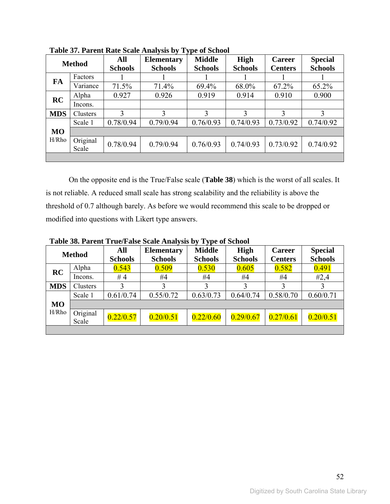|            | <b>Method</b>     | All<br><b>Schools</b> | <b>Elementary</b><br><b>Schools</b> | <b>Middle</b><br><b>Schools</b> | <b>High</b><br><b>Schools</b> | <b>Career</b><br><b>Centers</b> | <b>Special</b><br><b>Schools</b> |
|------------|-------------------|-----------------------|-------------------------------------|---------------------------------|-------------------------------|---------------------------------|----------------------------------|
| FA         | Factors           |                       |                                     |                                 |                               |                                 |                                  |
|            | Variance          | 71.5%                 | 71.4%                               | 69.4%                           | 68.0%                         | 67.2%                           | 65.2%                            |
| RC         | Alpha             | 0.927                 | 0.926                               | 0.919                           | 0.914                         | 0.910                           | 0.900                            |
|            | Incons.           |                       |                                     |                                 |                               |                                 |                                  |
| <b>MDS</b> | Clusters          | 3                     | 3                                   | 3                               | 3                             | 3                               | 3                                |
|            | Scale 1           | 0.78/0.94             | 0.79/0.94                           | 0.76/0.93                       | 0.74/0.93                     | 0.73/0.92                       | 0.74/0.92                        |
| <b>MO</b>  |                   |                       |                                     |                                 |                               |                                 |                                  |
| H/Rho      | Original<br>Scale | 0.78/0.94             | 0.79/0.94                           | 0.76/0.93                       | 0.74/0.93                     | 0.73/0.92                       | 0.74/0.92                        |
|            |                   |                       |                                     |                                 |                               |                                 |                                  |

**Table 37. Parent Rate Scale Analysis by Type of School** 

On the opposite end is the True/False scale (**Table 38**) which is the worst of all scales. It is not reliable. A reduced small scale has strong scalability and the reliability is above the threshold of 0.7 although barely. As before we would recommend this scale to be dropped or modified into questions with Likert type answers.

**Table 38. Parent True/False Scale Analysis by Type of School** 

|            | $\sim$ , $\sim$ , $\sim$ $\sim$ $\sim$ $\sim$ $\sim$ $\sim$ |                       |                                     |                                 |                               |                                 |                                  |
|------------|-------------------------------------------------------------|-----------------------|-------------------------------------|---------------------------------|-------------------------------|---------------------------------|----------------------------------|
|            | <b>Method</b>                                               | All<br><b>Schools</b> | <b>Elementary</b><br><b>Schools</b> | <b>Middle</b><br><b>Schools</b> | <b>High</b><br><b>Schools</b> | <b>Career</b><br><b>Centers</b> | <b>Special</b><br><b>Schools</b> |
| RC         | Alpha                                                       | 0.543                 | 0.509                               | 0.530                           | 0.605                         | 0.582                           | 0.491                            |
|            | Incons.                                                     | #4                    | #4                                  | #4                              | #4                            | #4                              | #2,4                             |
| <b>MDS</b> | Clusters                                                    |                       |                                     | 3                               | 3                             |                                 |                                  |
|            | Scale 1                                                     | 0.61/0.74             | 0.55/0.72                           | 0.63/0.73                       | 0.64/0.74                     | 0.58/0.70                       | 0.60/0.71                        |
| <b>MO</b>  |                                                             |                       |                                     |                                 |                               |                                 |                                  |
| H/Rho      | Original<br>Scale                                           | 0.22/0.57             | 0.20/0.51                           | 0.22/0.60                       | 0.29/0.67                     | 0.27/0.61                       | 0.20/0.51                        |
|            |                                                             |                       |                                     |                                 |                               |                                 |                                  |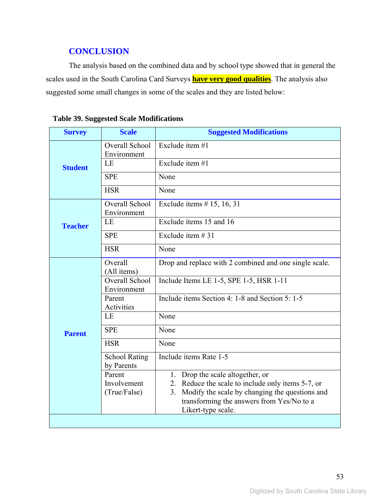## **CONCLUSION**

The analysis based on the combined data and by school type showed that in general the scales used in the South Carolina Card Surveys **have very good qualities**. The analysis also suggested some small changes in some of the scales and they are listed below:

| <b>Survey</b>  | <b>Scale</b>                       | <b>Suggested Modifications</b>                         |
|----------------|------------------------------------|--------------------------------------------------------|
|                | Overall School<br>Environment      | Exclude item #1                                        |
| <b>Student</b> | LE                                 | Exclude item #1                                        |
|                | <b>SPE</b>                         | None                                                   |
|                | <b>HSR</b>                         | None                                                   |
|                | Overall School<br>Environment      | Exclude items $# 15, 16, 31$                           |
| <b>Teacher</b> | LE                                 | Exclude items 15 and 16                                |
|                | <b>SPE</b>                         | Exclude item $#31$                                     |
|                | <b>HSR</b>                         | None                                                   |
|                | Overall                            | Drop and replace with 2 combined and one single scale. |
|                | (All items)<br>Overall School      | Include Items LE 1-5, SPE 1-5, HSR 1-11                |
|                | Environment                        |                                                        |
|                | Parent                             | Include items Section 4: 1-8 and Section 5: 1-5        |
|                | Activities                         |                                                        |
|                | LE                                 | None                                                   |
| <b>Parent</b>  | <b>SPE</b>                         | None                                                   |
|                | <b>HSR</b>                         | None                                                   |
|                | <b>School Rating</b><br>by Parents | Include items Rate 1-5                                 |
|                | Parent                             | 1. Drop the scale altogether, or                       |
|                | Involvement                        | Reduce the scale to include only items 5-7, or<br>2.   |
|                | (True/False)                       | Modify the scale by changing the questions and<br>3.   |
|                |                                    | transforming the answers from Yes/No to a              |
|                |                                    | Likert-type scale.                                     |
|                |                                    |                                                        |

## **Table 39. Suggested Scale Modifications**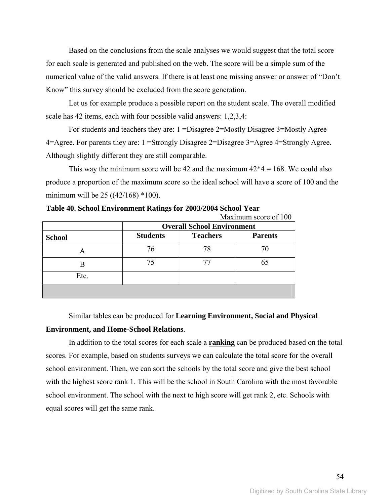Based on the conclusions from the scale analyses we would suggest that the total score for each scale is generated and published on the web. The score will be a simple sum of the numerical value of the valid answers. If there is at least one missing answer or answer of "Don't Know" this survey should be excluded from the score generation.

Let us for example produce a possible report on the student scale. The overall modified scale has 42 items, each with four possible valid answers: 1,2,3,4:

For students and teachers they are: 1 =Disagree 2=Mostly Disagree 3=Mostly Agree 4=Agree. For parents they are: 1 =Strongly Disagree 2=Disagree 3=Agree 4=Strongly Agree. Although slightly different they are still comparable.

This way the minimum score will be 42 and the maximum  $42*4 = 168$ . We could also produce a proportion of the maximum score so the ideal school will have a score of 100 and the minimum will be  $25 ((42/168) *100)$ .

|               | <b>Overall School Environment</b> |                 |                |  |
|---------------|-----------------------------------|-----------------|----------------|--|
| <b>School</b> | <b>Students</b>                   | <b>Teachers</b> | <b>Parents</b> |  |
| A             | 76                                | 78              | 70             |  |
| В             | 75                                |                 | 65             |  |
| Etc.          |                                   |                 |                |  |
|               |                                   |                 |                |  |

**Table 40. School Environment Ratings for 2003/2004 School Year**   $M_{\text{avimum}}$  score of  $100$ 

Similar tables can be produced for **Learning Environment, Social and Physical Environment, and Home-School Relations**.

In addition to the total scores for each scale a **ranking** can be produced based on the total scores. For example, based on students surveys we can calculate the total score for the overall school environment. Then, we can sort the schools by the total score and give the best school with the highest score rank 1. This will be the school in South Carolina with the most favorable school environment. The school with the next to high score will get rank 2, etc. Schools with equal scores will get the same rank.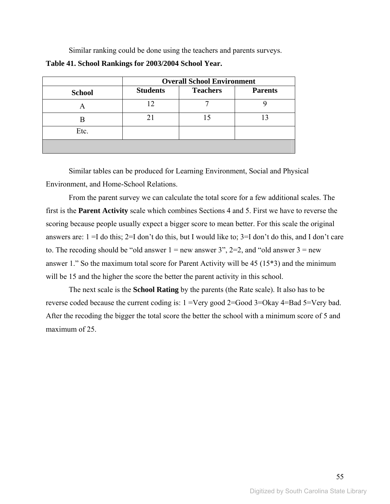Similar ranking could be done using the teachers and parents surveys.

| Table 41. School Rankings for 2003/2004 School Year. |  |
|------------------------------------------------------|--|
|------------------------------------------------------|--|

|               | <b>Overall School Environment</b> |                 |                |  |
|---------------|-----------------------------------|-----------------|----------------|--|
| <b>School</b> | <b>Students</b>                   | <b>Teachers</b> | <b>Parents</b> |  |
|               | 12                                |                 |                |  |
|               |                                   |                 |                |  |
| Etc.          |                                   |                 |                |  |
|               |                                   |                 |                |  |

Similar tables can be produced for Learning Environment, Social and Physical Environment, and Home-School Relations.

From the parent survey we can calculate the total score for a few additional scales. The first is the **Parent Activity** scale which combines Sections 4 and 5. First we have to reverse the scoring because people usually expect a bigger score to mean better. For this scale the original answers are: 1 =I do this; 2=I don't do this, but I would like to; 3=I don't do this, and I don't care to. The recoding should be "old answer  $1 =$  new answer  $3$ ",  $2=2$ , and "old answer  $3 =$  new answer 1." So the maximum total score for Parent Activity will be 45 (15\*3) and the minimum will be 15 and the higher the score the better the parent activity in this school.

The next scale is the **School Rating** by the parents (the Rate scale). It also has to be reverse coded because the current coding is: 1 =Very good 2=Good 3=Okay 4=Bad 5=Very bad. After the recoding the bigger the total score the better the school with a minimum score of 5 and maximum of 25.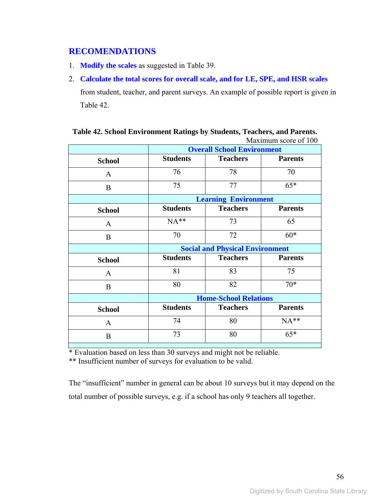## **RECOMENDATIONS**

- 1. **Modify the scales** as suggested in Table 39.
- 2. **Calculate the total scores for overall scale, and for LE, SPE, and HSR scales** from student, teacher, and parent surveys. An example of possible report is given in Table 42.

|               | <b>Overall School Environment</b> |                                        |                |  |  |
|---------------|-----------------------------------|----------------------------------------|----------------|--|--|
| <b>School</b> | <b>Students</b>                   | <b>Teachers</b>                        | <b>Parents</b> |  |  |
| $\mathbf{A}$  | 76                                | 78                                     | 70             |  |  |
| B             | 75                                | 77                                     | $65*$          |  |  |
|               |                                   | <b>Learning Environment</b>            |                |  |  |
| <b>School</b> | <b>Students</b>                   | <b>Teachers</b>                        | <b>Parents</b> |  |  |
| A             | $NA**$                            | 73                                     | 65             |  |  |
| B             | 70                                | 72                                     | $60*$          |  |  |
|               |                                   | <b>Social and Physical Environment</b> |                |  |  |
| <b>School</b> | <b>Students</b>                   | <b>Teachers</b>                        | <b>Parents</b> |  |  |
| $\mathbf{A}$  | 81                                | 83                                     | 75             |  |  |
| B             | 80                                | 82                                     | $70*$          |  |  |
|               | <b>Home-School Relations</b>      |                                        |                |  |  |
| <b>School</b> | <b>Students</b>                   | <b>Teachers</b>                        | <b>Parents</b> |  |  |
| $\mathbf{A}$  | 74                                | 80                                     | $NA**$         |  |  |
| B             | 73                                | 80                                     | $65*$          |  |  |
|               |                                   |                                        |                |  |  |

|  |  |  | Table 42. School Environment Ratings by Students, Teachers, and Parents. |  |
|--|--|--|--------------------------------------------------------------------------|--|
|  |  |  | Maximum score of 100                                                     |  |

\* Evaluation based on less than 30 surveys and might not be reliable.

\*\* Insufficient number of surveys for evaluation to be valid.

The "insufficient" number in general can be about 10 surveys but it may depend on the total number of possible surveys, e.g. if a school has only 9 teachers all together.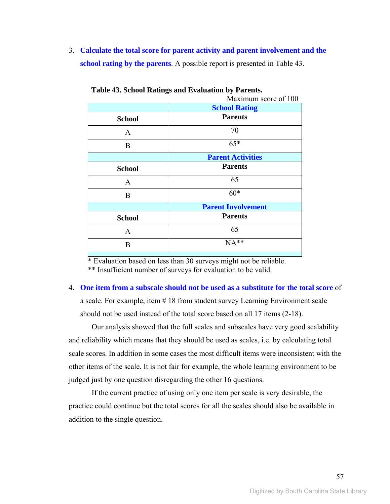3. **Calculate the total score for parent activity and parent involvement and the school rating by the parents**. A possible report is presented in Table 43.

|               | Maximum score of 100      |  |  |
|---------------|---------------------------|--|--|
|               | <b>School Rating</b>      |  |  |
| <b>School</b> | <b>Parents</b>            |  |  |
| $\mathbf{A}$  | 70                        |  |  |
| B             | $65*$                     |  |  |
|               | <b>Parent Activities</b>  |  |  |
| <b>School</b> | <b>Parents</b>            |  |  |
| A             | 65                        |  |  |
| B             | $60*$                     |  |  |
|               | <b>Parent Involvement</b> |  |  |
| <b>School</b> | <b>Parents</b>            |  |  |
| $\mathbf{A}$  | 65                        |  |  |
| B             | NA**                      |  |  |
|               |                           |  |  |

**Table 43. School Ratings and Evaluation by Parents.**

 \* Evaluation based on less than 30 surveys might not be reliable. \*\* Insufficient number of surveys for evaluation to be valid.

## 4. **One item from a subscale should not be used as a substitute for the total score** of a scale. For example, item # 18 from student survey Learning Environment scale should not be used instead of the total score based on all 17 items (2-18).

Our analysis showed that the full scales and subscales have very good scalability and reliability which means that they should be used as scales, i.e. by calculating total scale scores. In addition in some cases the most difficult items were inconsistent with the other items of the scale. It is not fair for example, the whole learning environment to be judged just by one question disregarding the other 16 questions.

If the current practice of using only one item per scale is very desirable, the practice could continue but the total scores for all the scales should also be available in addition to the single question.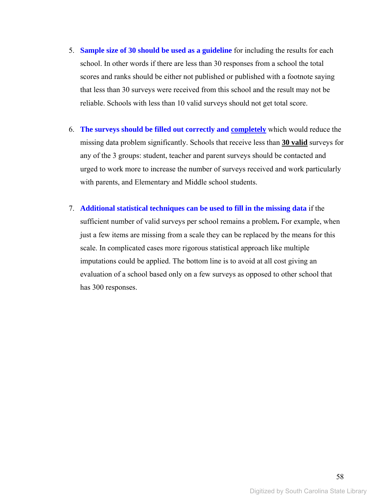- 5. **Sample size of 30 should be used as a guideline** for including the results for each school. In other words if there are less than 30 responses from a school the total scores and ranks should be either not published or published with a footnote saying that less than 30 surveys were received from this school and the result may not be reliable. Schools with less than 10 valid surveys should not get total score.
- 6. **The surveys should be filled out correctly and completely** which would reduce the missing data problem significantly. Schools that receive less than **30 valid** surveys for any of the 3 groups: student, teacher and parent surveys should be contacted and urged to work more to increase the number of surveys received and work particularly with parents, and Elementary and Middle school students.
- 7. **Additional statistical techniques can be used to fill in the missing data** if the sufficient number of valid surveys per school remains a problem**.** For example, when just a few items are missing from a scale they can be replaced by the means for this scale. In complicated cases more rigorous statistical approach like multiple imputations could be applied. The bottom line is to avoid at all cost giving an evaluation of a school based only on a few surveys as opposed to other school that has 300 responses.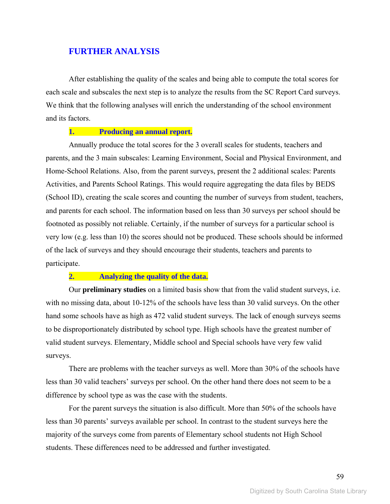## **FURTHER ANALYSIS**

After establishing the quality of the scales and being able to compute the total scores for each scale and subscales the next step is to analyze the results from the SC Report Card surveys. We think that the following analyses will enrich the understanding of the school environment and its factors.

#### **1. Producing an annual report.**

Annually produce the total scores for the 3 overall scales for students, teachers and parents, and the 3 main subscales: Learning Environment, Social and Physical Environment, and Home-School Relations. Also, from the parent surveys, present the 2 additional scales: Parents Activities, and Parents School Ratings. This would require aggregating the data files by BEDS (School ID), creating the scale scores and counting the number of surveys from student, teachers, and parents for each school. The information based on less than 30 surveys per school should be footnoted as possibly not reliable. Certainly, if the number of surveys for a particular school is very low (e.g. less than 10) the scores should not be produced. These schools should be informed of the lack of surveys and they should encourage their students, teachers and parents to participate.

#### **2. Analyzing the quality of the data.**

Our **preliminary studies** on a limited basis show that from the valid student surveys, i.e. with no missing data, about 10-12% of the schools have less than 30 valid surveys. On the other hand some schools have as high as 472 valid student surveys. The lack of enough surveys seems to be disproportionately distributed by school type. High schools have the greatest number of valid student surveys. Elementary, Middle school and Special schools have very few valid surveys.

There are problems with the teacher surveys as well. More than 30% of the schools have less than 30 valid teachers' surveys per school. On the other hand there does not seem to be a difference by school type as was the case with the students.

For the parent surveys the situation is also difficult. More than 50% of the schools have less than 30 parents' surveys available per school. In contrast to the student surveys here the majority of the surveys come from parents of Elementary school students not High School students. These differences need to be addressed and further investigated.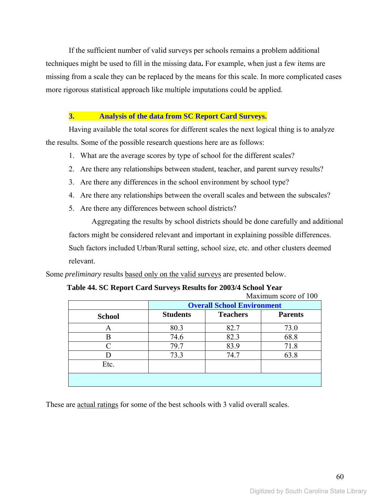If the sufficient number of valid surveys per schools remains a problem additional techniques might be used to fill in the missing data**.** For example, when just a few items are missing from a scale they can be replaced by the means for this scale. In more complicated cases more rigorous statistical approach like multiple imputations could be applied.

#### **3. Analysis of the data from SC Report Card Surveys.**

Having available the total scores for different scales the next logical thing is to analyze the results. Some of the possible research questions here are as follows:

- 1. What are the average scores by type of school for the different scales?
- 2. Are there any relationships between student, teacher, and parent survey results?
- 3. Are there any differences in the school environment by school type?
- 4. Are there any relationships between the overall scales and between the subscales?
- 5. Are there any differences between school districts?

Aggregating the results by school districts should be done carefully and additional factors might be considered relevant and important in explaining possible differences. Such factors included Urban/Rural setting, school size, etc. and other clusters deemed relevant.

Some *preliminary* results based only on the valid surveys are presented below.

#### **Table 44. SC Report Card Surveys Results for 2003/4 School Year**

|               | Maximum score of 100              |                 |                |  |
|---------------|-----------------------------------|-----------------|----------------|--|
|               | <b>Overall School Environment</b> |                 |                |  |
| <b>School</b> | <b>Students</b>                   | <b>Teachers</b> | <b>Parents</b> |  |
| A             | 80.3                              | 82.7            | 73.0           |  |
| B             | 74.6                              | 82.3            | 68.8           |  |
|               | 79.7                              | 83.9            | 71.8           |  |
|               | 73.3                              | 74.7            | 63.8           |  |
| Etc.          |                                   |                 |                |  |
|               |                                   |                 |                |  |

These are <u>actual ratings</u> for some of the best schools with 3 valid overall scales.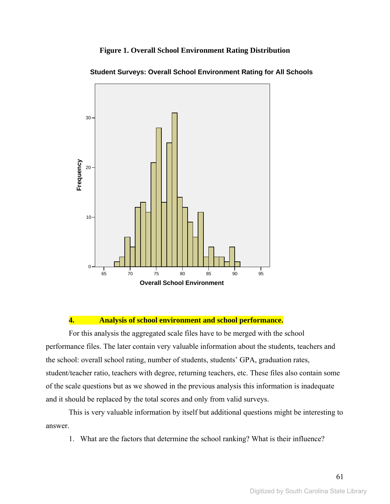#### **Figure 1. Overall School Environment Rating Distribution**



**Student Surveys: Overall School Environment Rating for All Schools**

#### **4. Analysis of school environment and school performance.**

For this analysis the aggregated scale files have to be merged with the school performance files. The later contain very valuable information about the students, teachers and the school: overall school rating, number of students, students' GPA, graduation rates, student/teacher ratio, teachers with degree, returning teachers, etc. These files also contain some of the scale questions but as we showed in the previous analysis this information is inadequate and it should be replaced by the total scores and only from valid surveys.

This is very valuable information by itself but additional questions might be interesting to answer.

1. What are the factors that determine the school ranking? What is their influence?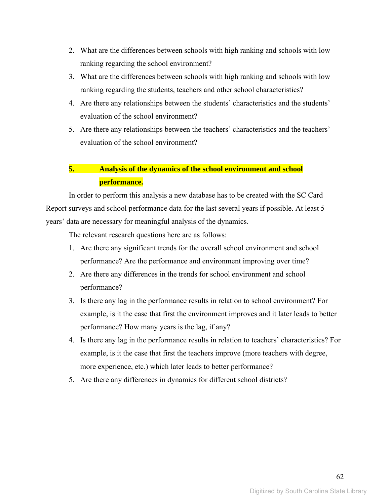- 2. What are the differences between schools with high ranking and schools with low ranking regarding the school environment?
- 3. What are the differences between schools with high ranking and schools with low ranking regarding the students, teachers and other school characteristics?
- 4. Are there any relationships between the students' characteristics and the students' evaluation of the school environment?
- 5. Are there any relationships between the teachers' characteristics and the teachers' evaluation of the school environment?

## **5. Analysis of the dynamics of the school environment and school performance.**

In order to perform this analysis a new database has to be created with the SC Card Report surveys and school performance data for the last several years if possible. At least 5 years' data are necessary for meaningful analysis of the dynamics.

The relevant research questions here are as follows:

- 1. Are there any significant trends for the overall school environment and school performance? Are the performance and environment improving over time?
- 2. Are there any differences in the trends for school environment and school performance?
- 3. Is there any lag in the performance results in relation to school environment? For example, is it the case that first the environment improves and it later leads to better performance? How many years is the lag, if any?
- 4. Is there any lag in the performance results in relation to teachers' characteristics? For example, is it the case that first the teachers improve (more teachers with degree, more experience, etc.) which later leads to better performance?
- 5. Are there any differences in dynamics for different school districts?